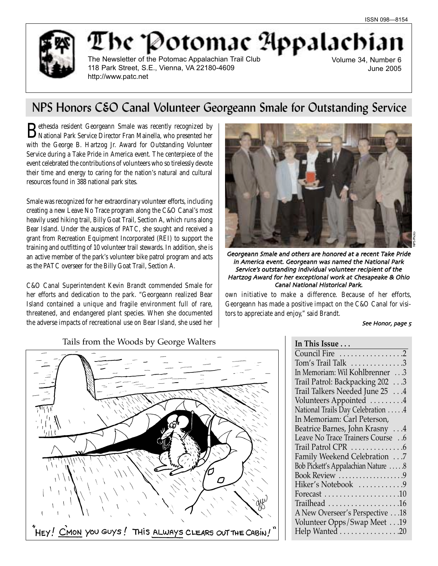

# The 'Potomac Appalachi

The Newsletter of the Potomac Appalachian Trail Club 118 Park Street, S.E., Vienna, VA 22180-4609 http://www.patc.net

Volume 34, Number 6 June 2005

# NPS Honors C&O Canal Volunteer Georgeann Smale for Outstanding Service

Bethesda resident Georgeann Smale was recently recognized by National Park Service Director Fran Mainella, who presented her with the George B. Hartzog Jr. Award for Outstanding Volunteer Service during a Take Pride in America event. The centerpiece of the event celebrated the contributions of volunteers who so tirelessly devote their time and energy to caring for the nation's natural and cultural resources found in 388 national park sites.

Smale was recognized for her extraordinary volunteer efforts, including creating a new Leave No Trace program along the C&O Canal's most heavily used hiking trail, Billy Goat Trail, Section A, which runs along Bear Island. Under the auspices of PATC, she sought and received a grant from Recreation Equipment Incorporated (REI) to support the training and outfitting of 10 volunteer trail stewards. In addition, she is an active member of the park's volunteer bike patrol program and acts as the PATC overseer for the Billy Goat Trail, Section A.

C&O Canal Superintendent Kevin Brandt commended Smale for her efforts and dedication to the park. "Georgeann realized Bear Island contained a unique and fragile environment full of rare, threatened, and endangered plant species. When she documented the adverse impacts of recreational use on Bear Island, she used her



Georgeann Smale and others are honored at a recent Take Pride in America event. Georgeann was named the National Park Service's outstanding individual volunteer recipient of the Hartzog Award for her exceptional work at Chesapeake & Ohio Canal National Historical Park

own initiative to make a difference. Because of her efforts, Georgeann has made a positive impact on the C&O Canal for visitors to appreciate and enjoy," said Brandt.

See Honor, page 5

| $\alpha$                                               |
|--------------------------------------------------------|
| HEY! CMON YOU GUYS! THIS ALWAYS CLEARS OUT THE CABIN!" |

| Tails from the Woods by George Walters |  |  |  |  |  |  |  |
|----------------------------------------|--|--|--|--|--|--|--|
|----------------------------------------|--|--|--|--|--|--|--|

| In This Issue                            |
|------------------------------------------|
| Council Fire 2                           |
| Tom's Trail Talk $\dots\dots\dots\dots3$ |
| In Memoriam: Wil Kohlbrenner 3           |
| Trail Patrol: Backpacking 202 3          |
| Trail Talkers Needed June 25 4           |
| Volunteers Appointed 4                   |
| National Trails Day Celebration 4        |
| In Memoriam: Carl Peterson,              |
| Beatrice Barnes, John Krasny 4           |
| Leave No Trace Trainers Course 6         |
| Trail Patrol CPR 6                       |
| Family Weekend Celebration 7             |
| Bob Pickett's Appalachian Nature 8       |
| Book Review 9                            |
| Hiker's Notebook 9                       |
|                                          |
| Trailhead 16                             |
| A New Overseer's Perspective 18          |
| Volunteer Opps/Swap Meet 19              |
| Help Wanted 20                           |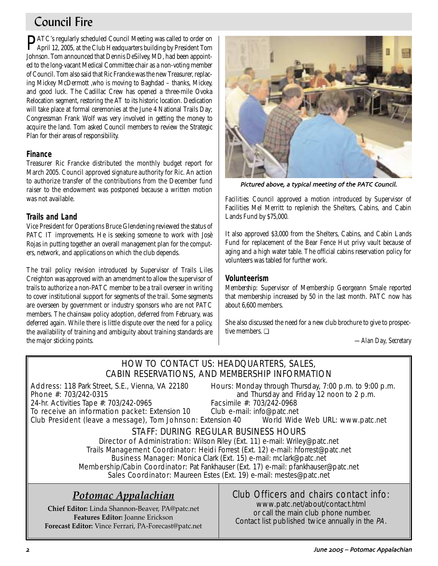# Council Fire

PATC's regularly scheduled Council Meeting was called to order on April 12, 2005, at the Club Headquarters building by President Tom Johnson. Tom announced that Dennis DeSilvey, MD, had been appointed to the long-vacant Medical Committee chair as a non-voting member of Council. Tom also said that Ric Francke was the new Treasurer, replacing Mickey McDermott ,who is moving to Baghdad – thanks, Mickey, and good luck. The Cadillac Crew has opened a three-mile Ovoka Relocation segment, restoring the AT to its historic location. Dedication will take place at formal ceremonies at the June 4 National Trails Day; Congressman Frank Wolf was very involved in getting the money to acquire the land. Tom asked Council members to review the Strategic Plan for their areas of responsibility.

# **Finance**

Treasurer Ric Francke distributed the monthly budget report for March 2005. Council approved signature authority for Ric. An action to authorize transfer of the contributions from the December fund raiser to the endowment was postponed because a written motion was not available.

# **Trails and Land**

Vice President for Operations Bruce Glendening reviewed the status of PATC IT improvements. He is seeking someone to work with Josè Rojas in putting together an overall management plan for the computers, network, and applications on which the club depends.

The trail policy revision introduced by Supervisor of Trails Liles Creighton was approved with an amendment to allow the supervisor of trails to authorize a non-PATC member to be a trail overseer in writing to cover institutional support for segments of the trail. Some segments are overseen by government or industry sponsors who are not PATC members. The chainsaw policy adoption, deferred from February, was deferred again. While there is little dispute over the need for a policy, the availability of training and ambiguity about training standards are the major sticking points.



Pictured above, a typical meeting of the PATC Council.

*Facilities:* Council approved a motion introduced by Supervisor of Facilities Mel Merritt to replenish the Shelters, Cabins, and Cabin Lands Fund by \$75,000.

It also approved \$3,000 from the Shelters, Cabins, and Cabin Lands Fund for replacement of the Bear Fence Hut privy vault because of aging and a high water table. The official cabins reservation policy for volunteers was tabled for further work.

# **Volunteerism**

*Membership*: Supervisor of Membership Georgeann Smale reported that membership increased by 50 in the last month. PATC now has about 6,600 members.

She also discussed the need for a new club brochure to give to prospective members. ❏

*—Alan Day, Secretary*

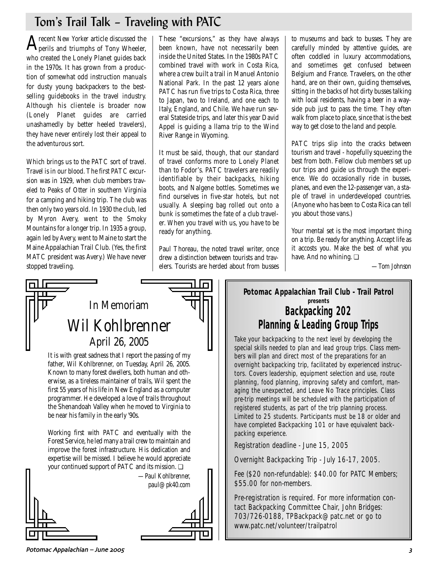# Tom's Trail Talk – Traveling with PATC

 ${\rm A}$ recent *New Yorker* article discussed the perils and triumphs of Tony Wheeler, who created the Lonely Planet guides back in the 1970s. It has grown from a production of somewhat odd instruction manuals for dusty young backpackers to the bestselling guidebooks in the travel industry. Although his clientele is broader now (Lonely Planet guides are carried unashamedly by better heeled travelers), they have never entirely lost their appeal to the adventurous sort.

Which brings us to the PATC sort of travel. Travel is in our blood. The first PATC excursion was in 1929, when club members traveled to Peaks of Otter in southern Virginia for a camping and hiking trip. The club was then only two years old. In 1930 the club, led by Myron Avery, went to the Smoky Mountains for a longer trip. In 1935 a group, again led by Avery, went to Maine to start the Maine Appalachian Trail Club. (Yes, the first MATC president was Avery.) We have never stopped traveling.

These "excursions," as they have always been known, have not necessarily been inside the United States. In the 1980s PATC combined travel with work in Costa Rica, where a crew built a trail in Manuel Antonio National Park. In the past 12 years alone PATC has run five trips to Costa Rica, three to Japan, two to Ireland, and one each to Italy, England, and Chile. We have run several Stateside trips, and later this year David Appel is guiding a llama trip to the Wind River Range in Wyoming.

It must be said, though, that our standard of travel conforms more to Lonely Planet than to Fodor's. PATC travelers are readily identifiable by their backpacks, hiking boots, and Nalgene bottles. Sometimes we find ourselves in five-star hotels, but not usually. A sleeping bag rolled out onto a bunk is sometimes the fate of a club traveler. When you travel with us, you have to be ready for anything.

Paul Thoreau, the noted travel writer, once drew a distinction between tourists and travelers. Tourists are herded about from busses to museums and back to busses. They are carefully minded by attentive guides, are often coddled in luxury accommodations, and sometimes get confused between Belgium and France. Travelers, on the other hand, are on their own, guiding themselves, sitting in the backs of hot dirty busses talking with local residents, having a beer in a wayside pub just to pass the time. They often walk from place to place, since that is the best way to get close to the land and people.

PATC trips slip into the cracks between tourism and travel - hopefully squeezing the best from both. Fellow club members set up our trips and guide us through the experience. We do occasionally ride in busses, planes, and even the 12-passenger van, a staple of travel in underdeveloped countries. (Anyone who has been to Costa Rica can tell you about those vans.)

Your mental set is the most important thing on a trip. Be ready for anything. Accept life as it accosts you. Make the best of what you have. And no whining. ❏

*—Tom Johnson*



It is with great sadness that I report the passing of my father, Wil Kohlbrenner, on Tuesday, April 26, 2005. Known to many forest dwellers, both human and otherwise, as a tireless maintainer of trails, Wil spent the first 55 years of his life in New England as a computer programmer. He developed a love of trails throughout the Shenandoah Valley when he moved to Virginia to be near his family in the early '90s.

Working first with PATC and eventually with the Forest Service, he led many a trail crew to maintain and improve the forest infrastructure. His dedication and expertise will be missed. I believe he would appreciate your continued support of PATC and its mission. ❏



# **Potomac Appalachian Trail Club - Trail Patrol presents Backpacking 202 Planning & Leading Group Trips**

Take your backpacking to the next level by developing the special skills needed to plan and lead group trips. Class members will plan and direct most of the preparations for an overnight backpacking trip, facilitated by experienced instructors. Covers leadership, equipment selection and use, route planning, food planning, improving safety and comfort, managing the unexpected, and Leave No Trace principles. Class pre-trip meetings will be scheduled with the participation of registered students, as part of the trip planning process. Limited to 25 students. Participants must be 18 or older and have completed Backpacking 101 or have equivalent backpacking experience.

Registration deadline - June 15, 2005

Overnight Backpacking Trip - July 16-17, 2005.

Fee (\$20 non-refundable): \$40.00 for PATC Members; \$55.00 for non-members.

Pre-registration is required. For more information contact Backpacking Committee Chair, John Bridges: 703/726-0188, TPBackpack@patc.net or go to www.patc.net/volunteer/trailpatrol

Potomac Appalachian – June &(( ,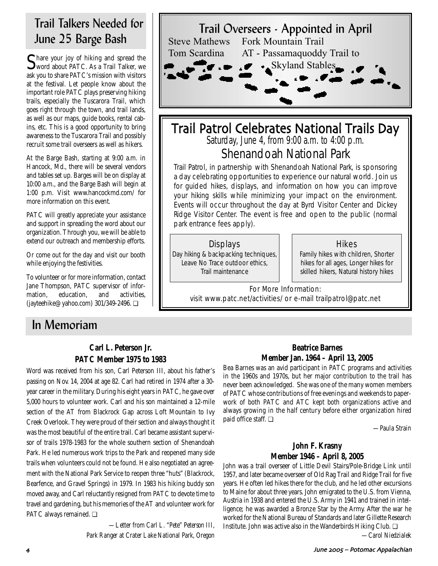# Trail Talkers Needed for June 25 Barge Bash

Share your joy of hiking and spread the word about PATC. As a Trail Talker, we ask you to share PATC's mission with visitors at the festival. Let people know about the important role PATC plays preserving hiking trails, especially the Tuscarora Trail, which goes right through the town, and trail lands, as well as our maps, guide books, rental cabins, etc. This is a good opportunity to bring awareness to the Tuscarora Trail and possibly recruit some trail overseers as well as hikers.

At the Barge Bash, starting at 9:00 a.m. in Hancock, Md., there will be several vendors and tables set up. Barges will be on display at 10:00 a.m., and the Barge Bash will begin at 1:00 p.m. Visit www.hancockmd.com/ for more information on this event.

PATC will greatly appreciate your assistance and support in spreading the word about our organization. Through you, we will be able to extend our outreach and membership efforts.

Or come out for the day and visit our booth while enjoying the festivities.

To volunteer or for more information, contact Jane Thompson, PATC supervisor of information, education, and activities, (jayteehike@yahoo.com) 301/349-2496. ❏

# In Memoriam

# **Carl L. Peterson Jr. PATC Member 1975 to 1983**

Word was received from his son, Carl Peterson III, about his father's passing on Nov. 14, 2004 at age 82. Carl had retired in 1974 after a 30 year career in the military. During his eight years in PATC, he gave over 5,000 hours to volunteer work. Carl and his son maintained a 12-mile section of the AT from Blackrock Gap across Loft Mountain to Ivy Creek Overlook. They were proud of their section and always thought it was the most beautiful of the entire trail. Carl became assistant supervisor of trails 1978-1983 for the whole southern section of Shenandoah Park. He led numerous work trips to the Park and reopened many side trails when volunteers could not be found. He also negotiated an agreement with the National Park Service to reopen three "huts" (Blackrock, Bearfence, and Gravel Springs) in 1979. In 1983 his hiking buddy son moved away, and Carl reluctantly resigned from PATC to devote time to travel and gardening, but his memories of the AT and volunteer work for PATC always remained. ❏

> *—Letter from Carl L. "Pete" Peterson III, Park Ranger at Crater Lake National Park, Oregon*



# Trail Patrol Celebrates National Trails Day Saturday, June 4, from 9:00 a.m. to 4:00 p.m.

Shenandoah National Park

Trail Patrol, in partnership with Shenandoah National Park, is sponsoring a day celebrating opportunities to experience our natural world. Join us for guided hikes, displays, and information on how you can improve your hiking skills while minimizing your impact on the environment. Events will occur throughout the day at Byrd Visitor Center and Dickey Ridge Visitor Center. The event is free and open to the public (normal park entrance fees apply).

# **Displays**

Day hiking & backpacking techniques, Leave No Trace outdoor ethics, Trail maintenance

### **Hikes**

Family hikes with children, Shorter hikes for all ages, Longer hikes for skilled hikers, Natural history hikes

For More Information: visit www.patc.net/activities/ or e-mail trailpatrol@patc.net

## **Beatrice Barnes Member Jan. 1964 – April 13, 2005**

Bea Barnes was an avid participant in PATC programs and activities in the 1960s and 1970s, but her major contribution to the trail has never been acknowledged. She was one of the many women members of PATC whose contributions of free evenings and weekends to paperwork of both PATC and ATC kept both organizations active and always growing in the half century before either organization hired paid office staff. ❏

*—Paula Strain*

# **John F. Krasny Member 1946 – April 8, 2005**

John was a trail overseer of Little Devil Stairs/Pole-Bridge Link until 1957, and later became overseer of Old Rag Trail and Ridge Trail for five years. He often led hikes there for the club, and he led other excursions to Maine for about three years. John emigrated to the U.S. from Vienna, Austria in 1938 and entered the U.S. Army in 1941 and trained in intelligence; he was awarded a Bronze Star by the Army. After the war he worked for the National Bureau of Standards and later Gillette Research Institute. John was active also in the Wanderbirds Hiking Club. ❏

*—Carol Niedzialek*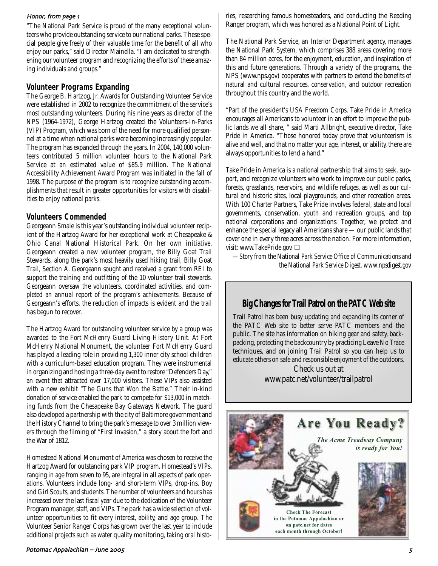"The National Park Service is proud of the many exceptional volunteers who provide outstanding service to our national parks. These special people give freely of their valuable time for the benefit of all who enjoy our parks," said Director Mainella. "I am dedicated to strengthening our volunteer program and recognizing the efforts of these amazing individuals and groups."

### **Volunteer Programs Expanding**

The George B. Hartzog, Jr. Awards for Outstanding Volunteer Service were established in 2002 to recognize the commitment of the service's most outstanding volunteers. During his nine years as director of the NPS (1964-1972), George Hartzog created the Volunteers-In-Parks (VIP) Program, which was born of the need for more qualified personnel at a time when national parks were becoming increasingly popular. The program has expanded through the years. In 2004, 140,000 volunteers contributed 5 million volunteer hours to the National Park Service at an estimated value of \$85.9 million. The National Accessibility Achievement Award Program was initiated in the fall of 1998. The purpose of the program is to recognize outstanding accomplishments that result in greater opportunities for visitors with disabilities to enjoy national parks.

### **Volunteers Commended**

Georgeann Smale is this year's outstanding individual volunteer recipient of the Hartzog Award for her exceptional work at Chesapeake & Ohio Canal National Historical Park. On her own initiative, Georgeann created a new volunteer program, the Billy Goat Trail Stewards, along the park's most heavily used hiking trail, Billy Goat Trail, Section A. Georgeann sought and received a grant from REI to support the training and outfitting of the 10 volunteer trail stewards. Georgeann oversaw the volunteers, coordinated activities, and completed an annual report of the program's achievements. Because of Georgeann's efforts, the reduction of impacts is evident and the trail has begun to recover.

The Hartzog Award for outstanding volunteer service by a group was awarded to the Fort McHenry Guard Living History Unit. At Fort McHenry National Monument, the volunteer Fort McHenry Guard has played a leading role in providing 1,300 inner city school children with a curriculum-based education program. They were instrumental in organizing and hosting a three-day event to restore "Defenders Day," an event that attracted over 17,000 visitors. These VIPs also assisted with a new exhibit "The Guns that Won the Battle." Their in-kind donation of service enabled the park to compete for \$13,000 in matching funds from the Chesapeake Bay Gateways Network. The guard also developed a partnership with the city of Baltimore government and the History Channel to bring the park's message to over 3 million viewers through the filming of "First Invasion," a story about the fort and the War of 1812.

Homestead National Monument of America was chosen to receive the Hartzog Award for outstanding park VIP program. Homestead's VIPs, ranging in age from seven to 95, are integral in all aspects of park operations. Volunteers include long- and short-term VIPs, drop-ins, Boy and Girl Scouts, and students. The number of volunteers and hours has increased over the last fiscal year due to the dedication of the Volunteer Program manager, staff, and VIPs. The park has a wide selection of volunteer opportunities to fit every interest, ability, and age group. The Volunteer Senior Ranger Corps has grown over the last year to include additional projects such as water quality monitoring, taking oral histo-

# Potomac Appalachian – June &((

Honor, from page 1 First researching famous homesteaders, and conducting the Reading Ranger program, which was honored as a National Point of Light.

> The National Park Service, an Interior Department agency, manages the National Park System, which comprises 388 areas covering more than 84 million acres, for the enjoyment, education, and inspiration of this and future generations. Through a variety of the programs, the NPS (www.nps.gov) cooperates with partners to extend the benefits of natural and cultural resources, conservation, and outdoor recreation throughout this country and the world.

> "Part of the president's USA Freedom Corps, Take Pride in America encourages all Americans to volunteer in an effort to improve the public lands we all share, " said Marti Allbright, executive director, Take Pride in America. "Those honored today prove that volunteerism is alive and well, and that no matter your age, interest, or ability, there are always opportunities to lend a hand."

> Take Pride in America is a national partnership that aims to seek, support, and recognize volunteers who work to improve our public parks, forests, grasslands, reservoirs, and wildlife refuges, as well as our cultural and historic sites, local playgrounds, and other recreation areas. With 100 Charter Partners, Take Pride involves federal, state and local governments, conservation, youth and recreation groups, and top national corporations and organizations. Together, we protect and enhance the special legacy all Americans share — our public lands that cover one in every three acres across the nation. For more information, visit: www.TakePride.gov. ❏

*—Story from the National Park Service Office of Communications and the National Park Service Digest, www.npsdigest.gov*

# **Big Changes for Trail Patrol on the PATC Web site**

Trail Patrol has been busy updating and expanding its corner of the PATC Web site to better serve PATC members and the public. The site has information on hiking gear and safety, backpacking, protecting the backcountry by practicing Leave No Trace techniques, and on joining Trail Patrol so you can help us to educate others on safe and responsible enjoyment of the outdoors.

Check us out at www.patc.net/volunteer/trailpatrol

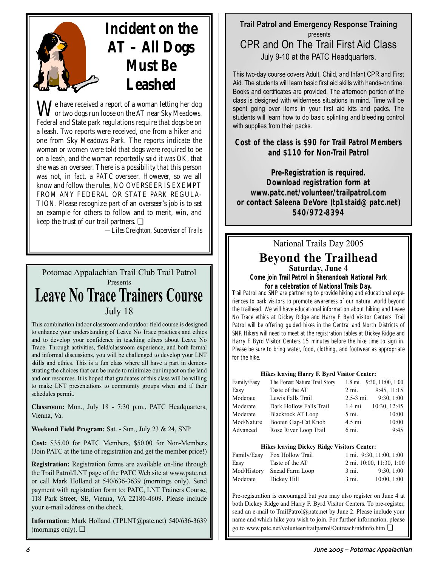# **Incident on the AT – All Dogs Must Be Leashed**

**W**e have received a report of a woman letting her dog or two dogs run loose on the AT near Sky Meadows. Federal and State park regulations require that dogs be on a leash. Two reports were received, one from a hiker and one from Sky Meadows Park. The reports indicate the woman or women were told that dogs were required to be on a leash, and the woman reportedly said it was OK, that she was an overseer. There is a possibility that this person was not, in fact, a PATC overseer. However, so we all know and follow the rules, NO OVERSEER IS EXEMPT FROM ANY FEDERAL OR STATE PARK REGULA-TION. Please recognize part of an overseer's job is to set an example for others to follow and to merit, win, and keep the trust of our trail partners. ❏

*—Liles Creighton, Supervisor of Trails*

# Potomac Appalachian Trail Club Trail Patrol Presents **Leave No Trace Trainers Course** July 18

This combination indoor classroom and outdoor field course is designed to enhance your understanding of Leave No Trace practices and ethics and to develop your confidence in teaching others about Leave No Trace. Through activities, field/classroom experience, and both formal and informal discussions, you will be challenged to develop your LNT skills and ethics. This is a fun class where all have a part in demonstrating the choices that can be made to minimize our impact on the land and our resources. It is hoped that graduates of this class will be willing to make LNT presentations to community groups when and if their schedules permit.

**Classroom:** Mon., July 18 - 7:30 p.m., PATC Headquarters, Vienna, Va.

**Weekend Field Program:** Sat. - Sun., July 23 & 24, SNP

**Cost:** \$35.00 for PATC Members, \$50.00 for Non-Members (Join PATC at the time of registration and get the member price!)

**Registration:** Registration forms are available on-line through the Trail Patrol/LNT page of the PATC Web site at www.patc.net or call Mark Holland at 540/636-3639 (mornings only). Send payment with registration form to: PATC, LNT Trainers Course, 118 Park Street, SE, Vienna, VA 22180-4609. Please include your e-mail address on the check.

**Information:** Mark Holland (TPLNT@patc.net) 540/636-3639 (mornings only).  $\Box$ 

# **Trail Patrol and Emergency Response Training** presents CPR and On The Trail First Aid Class July 9-10 at the PATC Headquarters.

This two-day course covers Adult, Child, and Infant CPR and First Aid. The students will learn basic first aid skills with hands-on time. Books and certificates are provided. The afternoon portion of the class is designed with wilderness situations in mind. Time will be spent going over items in your first aid kits and packs. The students will learn how to do basic splinting and bleeding control with supplies from their packs.

# **Cost of the class is \$90 for Trail Patrol Members and \$110 for Non-Trail Patrol**

**Pre-Registration is required. Download registration form at www.patc.net/volunteer/trailpatrol.com or contact Saleena DeVore (tp1staid@patc.net) 540/972-8394**

# National Trails Day 2005

# **Beyond the Trailhead Saturday, June** 4

**Come join Trail Patrol in Shenandoah National Park for a celebration of National Trails Day.**

Trail Patrol and SNP are partnering to provide hiking and educational experiences to park visitors to promote awareness of our natural world beyond the trailhead. We will have educational information about hiking and Leave No Trace ethics at Dickey Ridge and Harry F. Byrd Visitor Centers. Trail Patrol will be offering guided hikes in the Central and North Districts of SNP. Hikers will need to meet at the registration tables at Dickey Ridge and Harry F. Byrd Visitor Centers 15 minutes before the hike time to sign in. Please be sure to bring water, food, clothing, and footwear as appropriate for the hike.

### **Hikes leaving Harry F. Byrd Visitor Center:**

| Family/Easy | The Forest Nature Trail Story |                 | 1.8 mi. $9:30, 11:00, 1:00$ |
|-------------|-------------------------------|-----------------|-----------------------------|
| Easy        | Taste of the AT               | $2 \text{ mi.}$ | 9:45, 11:15                 |
| Moderate    | Lewis Falls Trail             | $2.5 - 3$ mi.   | 9:30, 1:00                  |
| Moderate    | Dark Hollow Falls Trail       | 1.4 mi.         | 10:30, 12:45                |
| Moderate    | <b>Blackrock AT Loop</b>      | 5 mi.           | 10:00                       |
| Mod/Nature  | Booten Gap-Cat Knob           | 4.5 mi.         | 10:00                       |
| Advanced    | Rose River Loop Trail         | 6 mi.           | 9:45                        |
|             |                               |                 |                             |

### **Hikes leaving Dickey Ridge Visitors Center:**

| Family/Easy | Fox Hollow Trail |       | 1 mi. 9:30, 11:00, 1:00  |
|-------------|------------------|-------|--------------------------|
| Easy        | Taste of the AT  |       | 2 mi. 10:00, 11:30, 1:00 |
| Mod/History | Snead Farm Loop  | 3 mi. | 9:30, 1:00               |
| Moderate    | Dickey Hill      | 3 mi. | 10:00, 1:00              |

Pre-registration is encouraged but you may also register on June 4 at both Dickey Ridge and Harry F. Byrd Visitor Centers. To pre-register, send an e-mail to TrailPatrol@patc.net by June 2. Please include your name and which hike you wish to join. For further information, please go to www.patc.net/volunteer/trailpatrol/Outreach/ntdinfo.htm ❏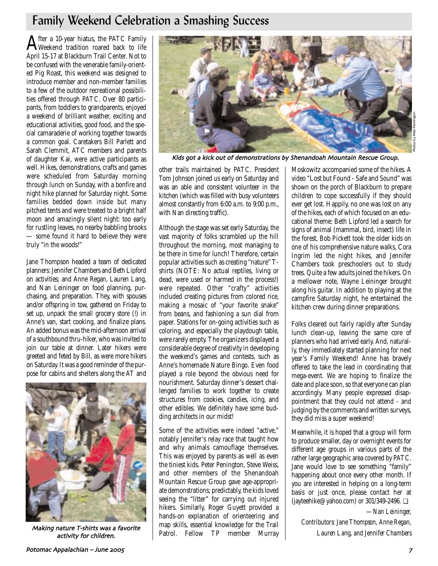# Family Weekend Celebration a Smashing Success

After a 10-year hiatus, the PATC Family Weekend tradition roared back to life April 15-17 at Blackburn Trail Center. Not to be confused with the venerable family-oriented Pig Roast, this weekend was designed to introduce member and non-member families to a few of the outdoor recreational possibilities offered through PATC. Over 80 participants, from toddlers to grandparents, enjoyed a weekend of brilliant weather, exciting and educational activities, good food, and the special camaraderie of working together towards a common goal. Caretakers Bill Parlett and Sarah Clemmit, ATC members and parents of daughter Kai, were active participants as well. Hikes, demonstrations, crafts and games were scheduled from Saturday morning through lunch on Sunday, with a bonfire and night hike planned for Saturday night. Some families bedded down inside but many pitched tents and were treated to a bright half moon and amazingly silent night: too early for rustling leaves, no nearby babbling brooks — some found it hard to believe they were truly "in the woods!"

Jane Thompson headed a team of dedicated planners: Jennifer Chambers and Beth Lipford on activities; and Anne Regan, Lauren Lang, and Nan Leininger on food planning, purchasing, and preparation. They, with spouses and/or offspring in tow, gathered on Friday to set up, unpack the small grocery store (!) in Anne's van, start cooking, and finalize plans. An added bonus was the mid-afternoon arrival of a southbound thru-hiker, who was invited to join our table at dinner. Later hikers were greeted and feted by Bill, as were more hikers on Saturday. It was a good reminder of the purpose for cabins and shelters along the AT and



Making nature T-shirts was a favorite activity for children



Kids got a kick out of demonstrations by Shenandoah Mountain Rescue Group

other trails maintained by PATC. President Tom Johnson joined us early on Saturday and was an able and consistent volunteer in the kitchen (which was filled with busy volunteers almost constantly from 6:00 a.m. to 9:00 p.m., with Nan directing traffic).

Although the stage was set early Saturday, the vast majority of folks scrambled up the hill throughout the morning, most managing to be there in time for lunch! Therefore, certain popular activities such as creating "nature" Tshirts (NOTE: No actual reptiles, living or dead, were used or harmed in the process!) were repeated. Other "crafty" activities included creating pictures from colored rice, making a mosaic of "your favorite snake" from beans, and fashioning a sun dial from paper. Stations for on-going activities such as coloring, and especially the playdough table, were rarely empty. The organizers displayed a considerable degree of creativity in developing the weekend's games and contests, such as Anne's homemade Nature Bingo. Even food played a role beyond the obvious need for nourishment. Saturday dinner's dessert challenged families to work together to create structures from cookies, candies, icing, and other edibles. We definitely have some budding architects in our midst!

Some of the activities were indeed "active," notably Jennifer's relay race that taught how and why animals camouflage themselves. This was enjoyed by parents as well as even the tiniest kids. Peter Penington, Steve Weiss, and other members of the Shenandoah Mountain Rescue Group gave age-appropriate demonstrations; predictably, the kids loved seeing the "litter" for carrying out injured hikers. Similarly, Roger Guyett provided a hands-on explanation of orienteering and map skills, essential knowledge for the Trail Patrol. Fellow TP member Murray Moskowitz accompanied some of the hikes. A video "Lost but Found - Safe and Sound" was shown on the porch of Blackburn to prepare children to cope successfully if they should ever get lost. Happily, no one was lost on any of the hikes, each of which focused on an educational theme: Beth Lipford led a search for signs of animal (mammal, bird, insect) life in the forest, Bob Pickett took the older kids on one of his comprehensive nature walks, Cora Ingrim led the night hikes, and Jennifer Chambers took preschoolers out to study trees. Quite a few adults joined the hikers. On a mellower note, Wayne Leininger brought along his guitar. In addition to playing at the campfire Saturday night, he entertained the kitchen crew during dinner preparations.

Photos by Peter Pennington

Folks cleared out fairly rapidly after Sunday lunch clean-up, leaving the same core of planners who had arrived early. And, naturally, they immediately started planning for next year's Family Weekend! Anne has bravely offered to take the lead in coordinating that mega-event. We are hoping to finalize the date and place soon, so that everyone can plan accordingly. Many people expressed disappointment that they could not attend - and judging by the comments and written surveys, they did miss a super weekend!

Meanwhile, it is hoped that a group will form to produce smaller, day or overnight events for different age groups in various parts of the rather large geographic area covered by PATC. Jane would love to see something "family" happening about once every other month. If you are interested in helping on a long-term basis or just once, please contact her at (jayteehike@yahoo.com) or 301/349-2496. ❏

*—Nan Leininger, Contributors: Jane Thompson, Anne Regan, Lauren Lang, and Jennifer Chambers*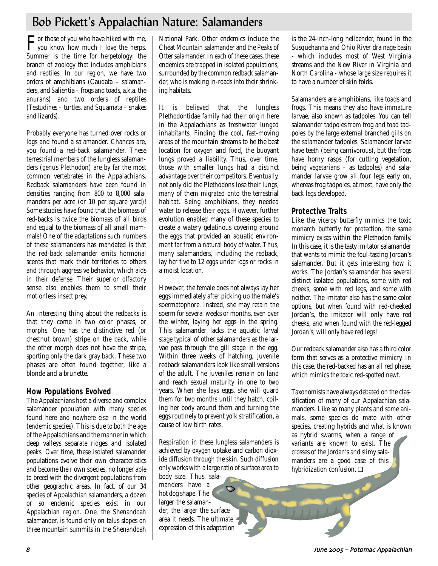# Bob Pickett's Appalachian Nature: Salamanders

For those of you who have hiked with me,<br>you know how much I love the herps. Summer is the time for herpetology: the branch of zoology that includes amphibians and reptiles. In our region, we have two orders of amphibians (Caudata – salamanders, and Salientia – frogs and toads, a.k.a. the anurans) and two orders of reptiles (Testudines – turtles, and Squamata – snakes and lizards).

Probably everyone has turned over rocks or logs and found a salamander. Chances are, you found a red-back salamander. These terrestrial members of the lungless salamanders (genus Plethodon) are by far the most common vertebrates in the Appalachians. Redback salamanders have been found in densities ranging from 800 to 8,000 salamanders per acre (or 10 per square yard)! Some studies have found that the biomass of red-backs is twice the biomass of all birds and equal to the biomass of all small mammals! One of the adaptations such numbers of these salamanders has mandated is that the red-back salamander emits hormonal scents that mark their territories to others and through aggressive behavior, which aids in their defense. Their superior olfactory sense also enables them to smell their motionless insect prey.

An interesting thing about the redbacks is that they come in two color phases, or morphs. One has the distinctive red (or chestnut brown) stripe on the back, while the other morph does not have the stripe, sporting only the dark gray back. These two phases are often found together, like a blonde and a brunette.

# **How Populations Evolved**

The Appalachians host a diverse and complex salamander population with many species found here and nowhere else in the world (endemic species). This is due to both the age of the Appalachians and the manner in which deep valleys separate ridges and isolated peaks. Over time, these isolated salamander populations evolve their own characteristics and become their own species, no longer able to breed with the divergent populations from other geographic areas. In fact, of our 34 species of Appalachian salamanders, a dozen or so endemic species exist in our Appalachian region. One, the Shenandoah salamander, is found only on talus slopes on three mountain summits in the Shenandoah

National Park. Other endemics include the Cheat Mountain salamander and the Peaks of Otter salamander. In each of these cases, these endemics are trapped in isolated populations, surrounded by the common redback salamander, who is making in-roads into their shrinking habitats.

It is believed that the lungless Plethodontidae family had their origin here in the Appalachians as freshwater lunged inhabitants. Finding the cool, fast-moving areas of the mountain streams to be the best location for oxygen and food, the buoyant lungs proved a liability. Thus, over time, those with smaller lungs had a distinct advantage over their competitors. Eventually, not only did the Plethodons lose their lungs, many of them migrated onto the terrestrial habitat. Being amphibians, they needed water to release their eggs. However, further evolution enabled many of these species to create a watery gelatinous covering around the eggs that provided an aquatic environment far from a natural body of water. Thus, many salamanders, including the redback, lay her five to 12 eggs under logs or rocks in a moist location.

However, the female does not always lay her eggs immediately after picking up the male's spermatophore. Instead, she may retain the sperm for several weeks or months, even over the winter, laying her eggs in the spring. This salamander lacks the aquatic larval stage typical of other salamanders as the larvae pass through the gill stage in the egg. Within three weeks of hatching, juvenile redback salamanders look like small versions of the adult. The juveniles remain on land and reach sexual maturity in one to two years. When she lays eggs, she will guard them for two months until they hatch, coiling her body around them and turning the eggs routinely to prevent yolk stratification, a cause of low birth rates.

Respiration in these lungless salamanders is achieved by oxygen uptake and carbon dioxide diffusion through the skin. Such diffusion only works with a large ratio of surface area to body size. Thus, sala-

manders have a hot dog shape. The larger the salamander, the larger the surface area it needs. The ultimate expression of this adaptation

is the 24-inch-long hellbender, found in the Susquehanna and Ohio River drainage basin - which includes most of West Virginia streams and the New River in Virginia and North Carolina - whose large size requires it to have a number of skin folds.

Salamanders are amphibians, like toads and frogs. This means they also have immature larvae, also known as tadpoles. You can tell salamander tadpoles from frog and toad tadpoles by the large external branched gills on the salamander tadpoles. Salamander larvae have teeth (being carnivorous), but the frogs have horny rasps (for cutting vegetation, being vegetarians – as tadpoles) and salamander larvae grow all four legs early on, whereas frog tadpoles, at most, have only the back legs developed.

# **Protective Traits**

Like the viceroy butterfly mimics the toxic monarch butterfly for protection, the same mimicry exists within the Plethodon family. In this case, it is the tasty imitator salamander that wants to mimic the foul-tasting Jordan's salamander. But it gets interesting how it works. The Jordan's salamander has several distinct isolated populations, some with red cheeks, some with red legs, and some with neither. The imitator also has the same color options, but when found with red-cheeked Jordan's, the imitator will only have red cheeks, and when found with the red-legged Jordan's, will only have red legs!

Our redback salamander also has a third color form that serves as a protective mimicry. In this case, the red-backed has an all red phase, which mimics the toxic red-spotted newt.

Taxonomists have always debated on the classification of many of our Appalachian salamanders. Like so many plants and some animals, some species do mate with other species, creating hybrids and what is known as hybrid swarms, when a range of variants are known to exist. The crosses of the Jordan's and slimy salamanders are a good case of this hybridization confusion. ❏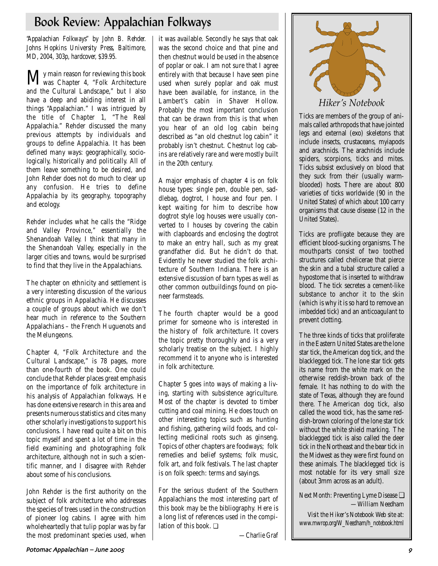# Book Review: Appalachian Folkways

*"Appalachian Folkways" by John B. Rehder. Johns Hopkins University Press, Baltimore, MD, 2004, 303p, hardcover, \$39.95.*

My main reason for reviewing this book was Chapter 4, "Folk Architecture and the Cultural Landscape," but I also have a deep and abiding interest in all things "Appalachian." I was intrigued by the title of Chapter 1, "The Real Appalachia." Rehder discussed the many previous attempts by individuals and groups to define Appalachia. It has been defined many ways: geographically, sociologically, historically and politically. All of them leave something to be desired, and John Rehder does not do much to clear up any confusion. He tries to define Appalachia by its geography, topography and ecology.

Rehder includes what he calls the "Ridge and Valley Province," essentially the Shenandoah Valley. I think that many in the Shenandoah Valley, especially in the larger cities and towns, would be surprised to find that they live in the Appalachians.

The chapter on ethnicity and settlement is a very interesting discussion of the various ethnic groups in Appalachia. He discusses a couple of groups about which we don't hear much in reference to the Southern Appalachians – the French Huguenots and the Melungeons.

Chapter 4, "Folk Architecture and the Cultural Landscape," is 78 pages, more than one-fourth of the book. One could conclude that Rehder places great emphasis on the importance of folk architecture in his analysis of Appalachian folkways. He has done extensive research in this area and presents numerous statistics and cites many other scholarly investigations to support his conclusions. I have read quite a bit on this topic myself and spent a lot of time in the field examining and photographing folk architecture, although not in such a scientific manner, and I disagree with Rehder about some of his conclusions.

John Rehder is the first authority on the subject of folk architecture who addresses the species of trees used in the construction of pioneer log cabins. I agree with him wholeheartedly that tulip poplar was by far the most predominant species used, when it was available. Secondly he says that oak was the second choice and that pine and then chestnut would be used in the absence of poplar or oak. I am not sure that I agree entirely with that because I have seen pine used when surely poplar and oak must have been available, for instance, in the Lambert's cabin in Shaver Hollow. Probably the most important conclusion that can be drawn from this is that when you hear of an old log cabin being described as "an old chestnut log cabin" it probably isn't chestnut. Chestnut log cabins are relatively rare and were mostly built in the 20th century.

A major emphasis of chapter 4 is on folk house types: single pen, double pen, saddlebag, dogtrot, I house and four pen. I kept waiting for him to describe how dogtrot style log houses were usually converted to I houses by covering the cabin with clapboards and enclosing the dogtrot to make an entry hall, such as my great grandfather did. But he didn't do that. Evidently he never studied the folk architecture of Southern Indiana. There is an extensive discussion of barn types as well as other common outbuildings found on pioneer farmsteads.

The fourth chapter would be a good primer for someone who is interested in the history of folk architecture. It covers the topic pretty thoroughly and is a very scholarly treatise on the subject. I highly recommend it to anyone who is interested in folk architecture.

Chapter 5 goes into ways of making a living, starting with subsistence agriculture. Most of the chapter is devoted to timber cutting and coal mining. He does touch on other interesting topics such as hunting and fishing, gathering wild foods, and collecting medicinal roots such as ginseng. Topics of other chapters are foodways; folk remedies and belief systems; folk music, folk art, and folk festivals. The last chapter is on folk speech: terms and sayings.

For the serious student of the Southern Appalachians the most interesting part of this book may be the bibliography. Here is a long list of references used in the compilation of this book. ❏

*—Charlie Graf*



Ticks are members of the group of animals called arthropods that have jointed legs and external (exo) skeletons that include insects, crustaceans, myiapods and arachnids. The arachnids include spiders, scorpions, ticks and mites. Ticks subsist exclusively on blood that they suck from their (usually warmblooded) hosts. There are about 800 varieties of ticks worldwide (90 in the United States) of which about 100 carry organisms that cause disease (12 in the United States).

Ticks are profligate because they are efficient blood-sucking organisms. The mouthparts consist of two toothed structures called chelicerae that pierce the skin and a tubal structure called a hypostome that is inserted to withdraw blood. The tick secretes a cement-like substance to anchor it to the skin (which is why it is so hard to remove an imbedded tick) and an anticoagulant to prevent clotting.

The three kinds of ticks that proliferate in the Eastern United States are the lone star tick, the American dog tick, and the blacklegged tick. The lone star tick gets its name from the white mark on the otherwise reddish-brown back of the female. It has nothing to do with the state of Texas, although they are found there. The American dog tick, also called the wood tick, has the same reddish-brown coloring of the lone star tick without the white shield marking. The blacklegged tick is also called the deer tick in the Northeast and the bear tick in the Midwest as they were first found on these animals. The blacklegged tick is most notable for its very small size (about 3mm across as an adult).

Next Month: Preventing Lyme Disease ❏ *—William Needham*

*Visit the Hiker's Notebook Web site at: www.mwrop.org/W\_Needham/h\_notebook.html*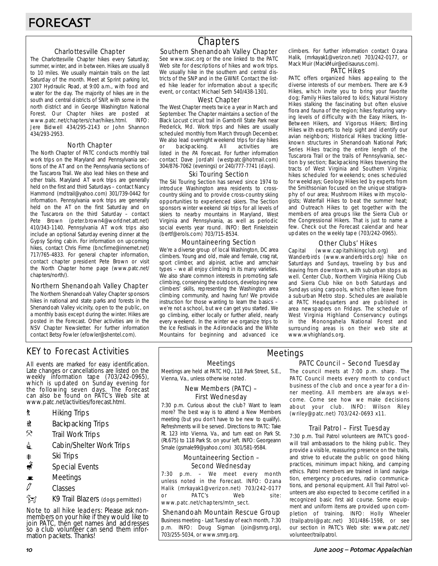### Charlottesville Chapter

The Charlottesville Chapter hikes every Saturday; summer, winter, and in between. Hikes are usually 8 to 10 miles. We usually maintain trails on the last Saturday of the month. Meet at Sprint parking lot, 2307 Hydraulic Road, at 9:00 a.m., with food and water for the day. The majority of hikes are in the south and central districts of SNP, with some in the north district and in George Washington National Forest. Our Chapter hikes are posted at www.patc.net/chapters/char/hikes.html. INFO: Jere Bidwell 434/295-2143 or John Shannon 434/293-2953.

### North Chapter

The North Chapter of PATC conducts monthly trail work trips on the Maryland and Pennsylvania sections of the AT and on the Pennsylvania sections of the Tuscarora Trail. We also lead hikes on these and other trails. Maryland AT work trips are generally held on the first and third Saturdays – contact Nancy Hammond (mdtrail@yahoo.com) 301/739-0442 for information. Pennsylvania work trips are generally held on the AT on the first Saturday and on the Tuscarora on the third Saturday – contact Pete Brown (peter.brown4@worldnet.att.net) 410/343-1140. Pennsylvania AT work trips also include an optional Saturday evening dinner at the Gypsy Spring cabin. For information on upcoming hikes, contact Chris Firme (bncfirme@innernet.net) 717/765-4833. For general chapter information, contact chapter president Pete Brown or visit the North Chapter home page (www.patc.net/ chapters/north/).

### Northern Shenandoah Valley Chapter

The Northern Shenandoah Valley Chapter sponsors hikes in national and state parks and forests in the Shenandoah Valley vicinity, open to the public, on a monthly basis except during the winter. Hikes are posted in the Forecast. Other activities are in the NSV Chapter Newsletter. For further information contact Betsy Fowler (efowler@shentel.com).

# KEY to Forecast Activities

All events are marked for easy identification. Late changes or cancellations are listed on the weekly information tape (703/242-0965), which is updated on Sunday evening for the following seven days. The Forecast can also be found on PATC's Web site at www.patc.net/activities/forecast.html.

- **\*** Hiking Trips
- \* Backpacking Trips
- $\mathcal{R}$  Trail Work Trips
- **i** Cabin/Shelter Work Trips
- **A** Ski Trips
- Special Events
- $\blacksquare$  Meetings
- $\varnothing$  Classes
- **EX** K9 Trail Blazers (dogs permitted)

Note to all hike leaders: Please ask nonmembers on your hike if they would like to join PATC, then get names and addresses so a club volunteer can send them information packets. Thanks!

# **Chapters**

### Southern Shenandoah Valley Chapter

See www.ssvc.org or the one linked to the PATC Web site for descriptions of hikes and work trips. We usually hike in the southern and central districts of the SNP and in the GWNF. Contact the listed hike leader for information about a specific event, or contact Michael Seth 540/438-1301.

### West Chapter

The West Chapter meets twice a year in March and September. The Chapter maintains a section of the Black Locust circuit trail in Gambrill State Park near Frederick, Md. Work trips and hikes are usually scheduled monthly from March through December. We also lead overnight weekend trips for day hikes or backpacking. All activities are listed in the PA Forecast. For further information contact Dave Jordahl (westpatc@hotmail.com) 304/876-7062 (evenings) or 240/777-7741 (days).

### Ski Touring Section

The Ski Touring Section has served since 1974 to introduce Washington area residents to crosscountry skiing and to provide cross-country skiing opportunities to experienced skiers. The Section sponsors winter weekend ski trips for all levels of skiers to nearby mountains in Maryland, West Virginia and Pennsylvania, as well as periodic social events year round. INFO: Bert Finkelstein (bertf@erols.com) 703/715-8534.

### Mountaineering Section

We're a diverse group of local Washington, DC area climbers. Young and old, male and female, crag rat, sport climber, and alpinist, active and armchair types – we all enjoy climbing in its many varieties. We also share common interests in promoting safe climbing, conserving the outdoors, developing new climbers' skills, representing the Washington area climbing community, and having fun! We provide instruction for those wanting to learn the basics – we're not a school, but we can get you started. We go climbing, either locally or further afield, nearly every weekend. In the winter we organize trips to the Ice Festivals in the Adirondacks and the White Mountains for beginning and advanced ice climbers. For further information contact Ozana Halik, (mrkayak1@verizon.net) 703/242-0177, or Mack Muir (MackMuir@edisaurus.com).

### PATC Hikes

PATC offers organized hikes appealing to the diverse interests of our members. There are K-9 Hikes, which invite you to bring your favorite dog; Family Hikes tailored to kids; Natural History Hikes stalking the fascinating but often elusive flora and fauna of the region; hikes featuring varying levels of difficulty with the Easy Hikers, In-Between Hikers, and Vigorous Hikers; Birding Hikes with experts to help sight and identify our avian neighbors; Historical Hikes tracking littleknown structures in Shenandoah National Park; Series Hikes tracing the entire length of the Tuscarora Trail or the trails of Pennsylvania, section by section; Backpacking Hikes traversing the tracts of West Virginia and Southern Virginia; hikes scheduled for weekends; ones scheduled for weekdays; Geology Hikes led by experts from the Smithsonian focused on the unique stratigraphy of our area; Mushroom Hikes with mycologists; Waterfall Hikes to beat the summer heat; and Outreach Hikes to get together with the members of area groups like the Sierra Club or the Congressional Hikers. That is just to name a few. Check out the Forecast calendar and hear updates on the weekly tape (703/242-0965).

### Other Clubs' Hikes

Capital (www.capitalhikingclub.org) and Wanderbirds (www.wanderbirds.org) hike on Saturdays and Sundays, traveling by bus and leaving from downtown, with suburban stops as well. Center Club, Northern Virginia Hiking Club and Sierra Club hike on both Saturdays and Sundays using carpools, which often leave from a suburban Metro stop. Schedules are available at PATC Headquarters and are published in area newspapers on Fridays. The schedule of West Virginia Highland Conservancy outings in the Monongahela National Forest and surrounding areas is on their web site at www.wvhighlands.org.

### Meetings

Meetings are held at PATC HQ, 118 Park Street, S.E., Vienna, Va., unless otherwise noted.

### New Members (PATC) – First Wednesday

7:30 p.m. Curious about the club? Want to learn more? The best way is to attend a New Members meeting (but you don't have to be new to qualify). Refreshments will be served. Directions to PATC: Take Rt. 123 into Vienna, Va., and turn east on Park St. (Rt.675) to 118 Park St. on your left. INFO: Georgeann Smale (gsmale99@yahoo.com) 301/581-9584.

### Mountaineering Section – Second Wednesday

7:30 p.m. – We meet every month unless noted in the Forecast. INFO: Ozana Halik (mrkayak1@verizon.net) 703/242-0177 or PATC's Web site: www.patc.net/chapters/mtn\_sect.

### Shenandoah Mountain Rescue Group

Business meeting - Last Tuesday of each month, 7:30 p.m. INFO: Doug Sigman (join@smrg.org), 703/255-5034, or www.smrg.org.

### PATC Council – Second Tuesday Meetings

The council meets at 7:00 p.m. sharp. The PATC Council meets every month to conduct business of the club and once a year for a dinner meeting. All members are always welcome. Come see how we make decisions about your club. INFO: Wilson Riley (wriley@patc.net) 703/242-0693 x11.

### Trail Patrol – First Tuesday

7:30 p.m. Trail Patrol volunteers are PATC's goodwill trail ambassadors to the hiking public. They provide a visible, reassuring presence on the trails, and strive to educate the public on good hiking practices, minimum impact hiking, and camping ethics. Patrol members are trained in land navigation, emergency procedures, radio communications, and personal equipment. All Trail Patrol volunteers are also expected to become certified in a recognized basic first aid course. Some equipment and uniform items are provided upon completion of training. INFO: Holly Wheeler (trailpatrol@patc.net) 301/486-1598, or see our section in PATC's Web site: www.patc.net/ volunteer/trailpatrol.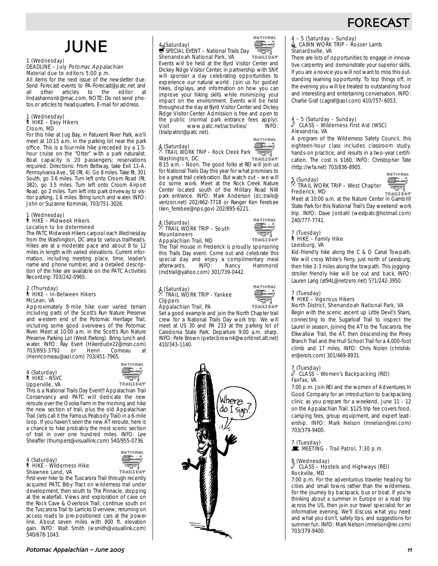# **FORECAS**

# JUNE

#### 1 (Wednesday) DEADLINE - July Potomac Appalachian Material due to editors 5:00 p.m.

All items for the next issue of the newsletter due. Send Forecast events to PA-Forecast@patc.net and<br>all other articles to the editor at all other articles to the editor lindashannonb@mac.com. NOTE: Do not send photos or articles to headquarters. E-mail for address.

#### 1 (Wednesday) ` HIKE – Easy Hikers Croom, MD

For this hike at Jug Bay, in Patuxent River Park, we'll meet at 10:15 a.m. in the parking lot near the park office. This is a four-mile hike preceded by a 1.5 hour cruise on the "Otter" with a park naturalist. Boat capacity is 20 passengers; reservations required. Directions: From Beltway, take Exit 11-A, Pennsylvania Ave., SE (Rt. 4). Go 8 miles. Take Rt. 301 South, go 3.6 miles. Turn left onto Croom Road (Rt. 382), go 3.5 miles. Turn left onto Croom Airport Road, go 2 miles. Turn left into park driveway to visitor parking, 1.6 miles. Bring lunch and water. INFO: John or Suzanne Kominski, 703/751-3026.

#### 1 (Wednesday) ` HIKE – Midweek Hikers Location to be determined

The PATC Midweek Hikers carpool each Wednesday from the Washington, DC area to various trailheads. Hikes are at a moderate pace and about 8 to 12 miles in length with varied elevations. Current information, including meeting place, time, leader's name and phone number, and a detailed description of the hike are available on the PATC Activities Recording: 703/242-0965.

#### 2 (Thursday) ` HIKE – In-Between Hikers McLean, VA

Approximately 8-mile hike over varied terrain including parts of the Scott's Run Nature Preserve and western end of the Potomac Heritage Trail, including some good overviews of the Potomac River. Meet at 10:00 a.m. in the Scott's Run Nature Preserve Parking Lot (West Parking). Bring lunch and water. INFO: Ray Evert (Hikerdude22@msn.com)<br>703/893-3792 or Henri Comeau at 703/893-3792 (Henricomeau@aol.com) 703/451-7965.

4 (Saturday) ` HIKE - NSVC Upperville, VA



This is a National Trails Day Event!! Appalachian Trail Conservancy and PATC will dedicate the new reroute over the Ovoka Farm in the morning and hike the new section of trail, plus the old Appalachian Trail (lets call it the Famous Peabody Trail) in a 6-mile loop. If you haven't seen the new AT reroute, here is a chance to hike probably the most scenic section of trail in over one hundred miles. INFO: Lee Sheaffer (thumpers@visuallink.com) 540/955-0736.

#### 4 (Saturday) ` HIKE - Wilderness Hike Shawnee Land, VA



First-ever hike to the Tuscarora Trail through recently acquired PATC Biby Tract on wilderness trail under development, then south to The Pinnacle, stopping at the waterfall. Views and exploration of cave on the Rock Cave & Overlook Trail; continue south on the Tuscarora Trail to Larricks Overview; returning on access roads to pre-positioned cars at the power line. About seven miles with 800 ft. elevation gain. INFO: Walt Smith (wsmith@visuallink.com) 540/678-1043.

#### HATIOHAL 經事 4. (Saturday)<br>SPECIAL EVENT – National Trails Day Shenandoah National Park, VA

**TRAILSDAY** Events will be held at the Byrd Visitor Center and Dickey Ridge Visitor Center, in partnership with SNP, will sponsor a day celebrating opportunities to experience our natural world. Join us for guided hikes, displays, and information on how you can improve your hiking skills while minimizing your impact on the environment. Events will be held throughout the day at Byrd Visitor Center and Dickey Ridge Visitor Center. Admission is free and open to the public (normal park entrance fees apply).<br>Visit www.patc.net/activities/ INFO: www.patc.net/activities/ (trailpatrol@patc.net).

#### 4 (Saturday) **Mari** च्चन्द . TRAIL WORK TRIP – Rock Creek Park Washington, DC

**TRAILSDAY** 8:15 a.m. - Noon. The good folks at REI will join us for National Trails Day this year for what promises to be a great trail celebration. But watch out – we will do some work. Meet at the Rock Creek Nature Center located south of the Military Road NW park entrance. INFO: Mark Anderson (dc.trails@ verizon.net) 202/462-7718 or Ranger Ken Ferebee (ken\_ferebee@nps.gov) 202/895-6221.

# 4 (Saturday) . TRAIL WORK TRIP – South Mountaineers

**HATIOHAL** 滋草 ÷. TRAILSDAY

وتحييته

**HATIOHAL** 

Appalachian Trail, MD The Trail House in Frederick is proudly sponsoring this Trails Day event. Come out and celebrate this special day and enjoy a complimentary meal afterwards. INFO: Nancy Hammond (mdtrail@yahoo.com) 301/739-0442.

### 4 (Saturday) . TRAIL WORK TRIP - Yankee Clippers



Appalachian Trail, PA Set a good example and join the North Chapter trail crew for a National Trails Day work trip. We will meet at US 30 and PA 233 at the parking lot of Caledonia State Park. Departure 9:00 a.m. sharp. INFO: Pete Brown (peter.brown4@worldnet.att.net) 410/343-1140.



# 4 – 5 (Saturday – Sunday)<br>4 CABIN WORK TRIP – Rosser Lamb Stanardsville, VA

There are lots of opportunities to engage in innovative carpentry and demonstrate your superior skills. If you are a novice you will not want to miss this outstanding learning opportunity. To top things off, in the evening you will be treated to outstanding food and interesting and entertaining conversation. INFO: Charlie Graf (cagraf@aol.com) 410/757–6053.

### $\frac{4}{\ell}$  – 5 (Saturday – Sunday) a CLASS – Wilderness First Aid (WSC) Alexandria, VA

A program of the Wilderness Safety Council, this eighteen-hour class includes classroom study, hands-on practice, and results in a two-year certification. The cost is \$160. INFO: Christopher Tate (http://wfa.net) 703/836-8905.



**HATIONAL** ⊒ TRAILSDAY

Meet at 10:00 a.m. at the Nature Center in Gambrill State Park for this National Trail's Day weekend work trip. INFO: Dave Jordahl (westpatc@hotmail.com) 240/777-7741.

#### 7 (Tuesday)  $\uparrow$  HIKE – Family Hike Leesburg, VA

Kid-friendly hike along the C & O Canal Towpath. We will cross White's Ferry, just north of Leesburg, then hike 2-3 miles along the towpath. This joggingstroller friendly hike will be out and back. INFO: Lauren Lang (at94L@netzero.net) 571/242-3950.

### 7 (Tuesday) ` HIKE – Vigorous Hikers

# North District, Shenandoah National Park, VA

Begin with the scenic ascent up Little Devil's Stairs, connecting to the Sugarloaf Trail to inspect the Laurel in season, joining the AT to the Tuscarora, the Elkwallow Trail, the AT, then descending the Piney Branch Trail and the Hull School Trail for a 4,000-foot climb and 17 miles. INFO: Chris Nolen (chrishiker@erols.com) 301/469-8931.

# 7 (Tuesday) a CLASS – Women's Backpacking (REI) Fairfax, VA

7:00 p.m. Join REI and the women of Adventures In Good Company for an introduction to backpacking clinic as you prepare for a weekend, June 11 - 12 on the Appalachian Trail. \$125 trip fee covers food, camping fees, group equipment, and expert leadership. INFO: Mark Nelson (mnelson@rei.com) 703/379-9400.



### 8 (Wednesday) a CLASS – Hostels and Highways (REI) Rockville, MD

7:00 p.m. For the adventurous traveler heading for cities and small towns rather than the wilderness. For the journey by backpack, bus or boat. If you're thinking about a summer in Europe or a road trip across the US, then join our travel specialist for an informative evening. We'll discuss what you need and what you don't, safety tips, and suggestions for summer fun. INFO: Mark Nelson (mnelson@rei.com) 703/379-9400.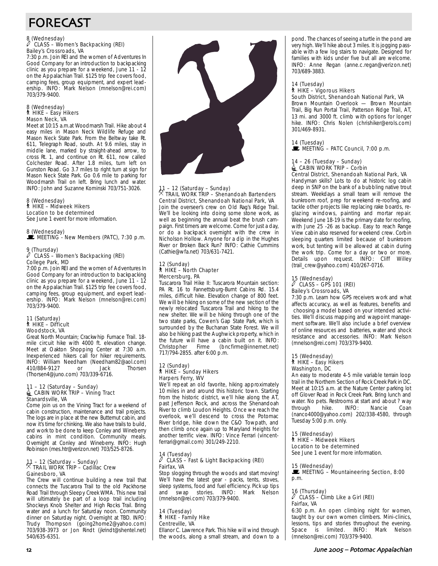# FORECAST

### 8 (Wednesday) a CLASS – Women's Backpacking (REI) Bailey's Crossroads, VA

7:30 p.m. Join REI and the women of Adventures In Good Company for an introduction to backpacking clinic as you prepare for a weekend, June 11 - 12 on the Appalachian Trail. \$125 trip fee covers food, camping fees, group equipment, and expert leadership. INFO: Mark Nelson (mnelson@rei.com) 703/379-9400.

#### 8 (Wednesday) ` HIKE – Easy Hikers Mason Neck, VA

Meet at 10:15 a.m.at Woodmarsh Trail. Hike about 4 easy miles in Mason Neck Wildlife Refuge and Mason Neck State Park. From the Beltway take Rt. 611, Telegraph Road, south. At 9.6 miles, stay in middle lane, marked by straight-ahead arrow, to cross Rt. 1, and continue on Rt. 611, now called Colchester Road. After 1.8 miles, turn left on Gunston Road. Go 3.7 miles to right turn at sign for Mason Neck State Park. Go 0.6 mile to parking for Woodmarsh Trail on left. Bring lunch and water. INFO: John and Suzanne Kominski 703/751-3026.

# 8 (Wednesday) ` HIKE – Midweek Hikers Location to be determined

See June 1 event for more information.

### 8 (Wednesday)  $\mathbf{\mathbb{E}}$  MEETING - New Members (PATC), 7:30 p.m.

# 9 (Thursday) a CLASS – Women's Backpacking (REI) College Park, MD

7:00 p.m. Join REI and the women of Adventures In Good Company for an introduction to backpacking clinic as you prepare for a weekend, June 11 - 12 on the Appalachian Trail. \$125 trip fee covers food, camping fees, group equipment, and expert leadership. INFO: Mark Nelson (mnelson@rei.com) 703/379-9400.

### 11 (Saturday) ` HIKE – Difficult Woodstock, VA

Great North Mountain; Crackwhip Furnace Trail. 18 mile circuit hike with 4000 ft. elevation change. Meet at Oakton Shopping Center at 7:30 a.m. Inexperienced hikers call for hiker requirements. INFO: William Needham (Needham82@aol.com) 410/884-9127 or Jack Thorsen (Thorsen4@juno.com) 703/339-6716.

# 11 – 12 (Saturday – Sunday)<br>
CABIN WORK TRIP – Vining Tract Stanardsville, VA

Come join us on the Vining Tract for a weekend of cabin construction, maintenance and trail projects. The logs are in place at the new Butternut cabin, and now it's time for chinking. We also have trails to build, and work to be done to keep Conley and Wineberry cabins in mint condition. Community meals. Overnight at Conley and Wineberry. INFO: Hugh Robinson (mes.htr@verizon.net) 703/525-8726.

# 11 – 12 (Saturday – Sunday) . TRAIL WORK TRIP – Cadillac Crew Gainesboro, VA

The Crew will continue building a new trail that connects the Tuscarora Trail to the old Packhorse Road Trail through Sleepy Creek WMA. This new trail will ultimately be part of a loop trail including Shockeys Knob Shelter and High Rocks Trail. Bring water and a lunch for Saturday noon. Community dinner on Saturday night. Overnight at TBD. INFO: Trudy Thompson (going2home2@yahoo.com) 703/938-3973 or Jon Rindt (jkrindt@shentel.net) 540/635-6351.



### 11 – 12 (Saturday – Sunday) . TRAIL WORK TRIP – Shenandoah Bartenders Central District, Shenandoah National Park, VA Join the overseer's crew on Old Rag's Ridge Trail. We'll be looking into doing some stone work, as well as beginning the annual beat the brush campaign. First timers are welcome. Come for just a day, or do a backpack overnight with the crew in Nicholson Hollow. Anyone for a dip in the Hughes River or Broken Back Run? INFO: Cathie Cummins (Cathie@wfa.net) 703/631-7421.

### 12 (Sunday) ` HIKE – North Chapter Mercersburg, PA

Tuscarora Trail Hike II: Tuscarora Mountain section: PA Rt. 16 to Fannettsburg-Burnt Cabins Rd. 15.4 miles, difficult hike. Elevation change of 800 feet. We will be hiking on some of the new section of the newly relocated Tuscarora Trail and hiking to the new shelter. We will be hiking through one of the two state parks, Cowen's Gap State Park, which is surrounded by the Buchanan State Forest. We will also be hiking past the Aughwick property, which in the future will have a cabin built on it. INFO: Christopher Firme (bncfirme@innernet.net) 717/794-2855. after 6:00 p.m.

### 12 (Sunday) ` HIKE – Sunday Hikers Harpers Ferry, WV

We'll repeat an old favorite, hiking approximately 10 miles in and around this historic town. Starting from the historic district, we'll hike along the AT, past Jefferson Rock, and across the Shenandoah River to climb Loudon Heights. Once we reach the overlook, we'll descend to cross the Potomac River bridge, hike down the C&O Towpath, and then climb once again up to Maryland Heights for another terrific view. INFO: Vince Ferrari (vincentferrari@gmail.com) 301/249-2210.

### 14 (Tuesday)<br>
<sup>2</sup> CLASS a CLASS – Fast & Light Backpacking (REI) Fairfax, VA

Stop slogging through the woods and start moving! We'll have the latest gear - packs, tents, stoves, sleep systems, food and fuel efficiency. Pick up tips and swap stories. INFO: Mark Nelson (mnelson@rei.com) 703/379-9400.

14 (Tuesday) ` HIKE - Family Hike Centreville, VA Ellanor C. Lawrence Park. This hike will wind through the woods, along a small stream, and down to a

pond. The chances of seeing a turtle in the pond are very high. We'll hike about 3 miles. It is jogging passable with a few log stairs to navigate. Designed for families with kids under five but all are welcome. INFO: Anne Regan (anne.c.regan@verizon.net) 703/689-3883.

### 14 (Tuesday)

### ` HIKE – Vigorous Hikers

South District, Shenandoah National Park, VA Brown Mountain Overlook — Brown Mountain Trail, Big Run Portal Trail, Patterson Ridge Trail, AT, 13 mi. and 3000 ft. climb with options for longer hike. INFO: Chris Nolen (chrishiker@erols.com) 301/469-8931.

14 (Tuesday)

### $\mathbb{R}$  MEETING – PATC Council, 7:00 p.m.

#### 14 – 26 (Tuesday – Sunday)  $\triangleq$  CABIN WORK TRIP – Corbin Central District, Shenandoah National Park, VA

Handyman skills? Lots to do at historic log cabin deep in SNP on the bank of a bubbling native trout stream. Weekdays a small team will remove the bunkroom roof, prep for weekend re-roofing, and tackle other projects like replacing rake boards, reglazing windows, painting and mortar repair. Weekend June 18-19 is the primary date for roofing, with June 25 -26 as backup. Easy to reach Range View cabin also reserved for weekend crew. Corbin sleeping quarters limited because of bunkroom work, but tenting will be allowed at cabin during the work trip. Come for a day or two or more. Details upon request. INFO: Cliff Willey (trail\_crew@yahoo.com) 410/267-0716.

### 15 (Wednesday)  $\mathscr I$   $\,$  Class – GPS 101 (REI)  $\,$ Bailey's Crossroads, VA

7:30 p.m. Learn how GPS receivers work and what affects accuracy, as well as features, benefits and choosing a model based on your intended activities. We'll discuss mapping and waypoint management software. We'll also include a brief overview of online resources and batteries, water and shock resistance and accessories. INFO: Mark Nelson (mnelson@rei.com) 703/379-9400.

### 15 (Wednesday) ` HIKE – Easy Hikers Washington, DC

An easy to moderate 4-5 mile variable terrain loop trail in the Northern Section of Rock Creek Park in DC. Meet at 10:15 a.m. at the Nature Center parking lot off Glover Road in Rock Creek Park. Bring lunch and water. No pets. Restrooms at start and about ? way<br>through hike. INFO: Nancie Coan through (nanco4000@yahoo.com) 202/338-4580, through Tuesday 5:00 p.m. only.

# 15 (Wednesday)

` HIKE – Midweek Hikers Location to be determined

See June 1 event for more information.

### 15 (Wednesday)

MEETING – Mountaineering Section, 8:00 p.m.

### 16 (Thursday)

 $\ell$  CLASS – Climb Like a Girl (REI) Fairfax, VA

6:30 p.m. An open climbing night for women, taught by our own women climbers. Mini-clinics, lessons, tips and stories throughout the evening. Space is limited. INFO: Mark Nelson (mnelson@rei.com) 703/379-9400.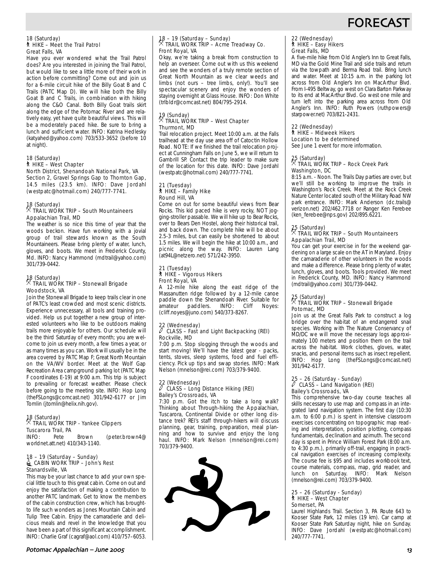# **FORECAS**

#### 18 (Saturday) ` HIKE – Meet the Trail Patrol Great Falls, VA

Have you ever wondered what the Trail Patrol does? Are you interested in joining the Trail Patrol, but would like to see a little more of their work in action before committing? Come out and join us for a 6-mile circuit hike of the Billy Goat B and C Trails (PATC Map D). We will hike both the Billy Goat B and C Trails, in combination with hiking along the C&O Canal. Both Billy Goat trails skirt along the edge of the Potomac River and are relatively easy, yet have quite beautiful views. This will be a moderately paced hike. Be sure to bring a lunch and sufficient water. INFO: Katrina Hedlesky (katyahed@yahoo.com) 703/533-3652 (before 10 at night).

#### 18 (Saturday) ` HIKE – West Chapter North District, Shenandoah National Park, VA

Section 2, Gravel Springs Gap to Thornton Gap, 14.5 miles (23.5 km). INFO: Dave Jordahl (westpatc@hotmail.com) 240/777-7741.

# 18 (Saturday) . TRAIL WORK TRIP – South Mountaineers Appalachian Trail, MD

The weather is so nice this time of year that the woods beckon. Have fun working with a jovial group of trail stewards known as the South Mountaineers. Please bring plenty of water, lunch, gloves, and boots. We meet in Frederick County, Md. INFO: Nancy Hammond (mdtrail@yahoo.com) 301/739-0442.

# 18 (Saturday) . TRAIL WORK TRIP – Stonewall Brigade Woodstock, VA

Join the Stonewall Brigade to keep trails clear in one of PATC's least crowded and most scenic districts. Experience unnecessary, all tools and training provided. Help us put together a new group of interested volunteers who like to be outdoors making trails more enjoyable for others. Our schedule will be the third Saturday of every month; you are welcome to join us every month, a few times a year, or as many times as you can. Work will usually be in the area covered by PATC Map F; Great North Mountain on the VA/WV border. Meet at the Wolf Gap Recreation Area campground parking lot (PATC Map F coordinates E-19) at 9:00 a.m. This trip is subject to prevailing or forecast weather. Please check before going to the meeting site. INFO: Hop Long (theFSLongs@comcast.net) 301/942-6177 or Jim Tomlin (jtomlin@helix.nih.gov).

# 18 (Saturday)<br>  $\%$  Theory

### $\sqrt[3]{}$  TRAIL WORK TRIP - Yankee Clippers Tuscarora Trail, PA

INFO: Pete Brown (peter.brown4@ worldnet.att.net) 410/343-1140.

### 18 – 19 (Saturday – Sunday)  $\triangleq$  CABIN WORK TRIP – John's Rest Stanardsville, VA

This may be your last chance to add your own special little touch to this great cabin. Come on out and enjoy the satisfaction of making a contribution to another PATC landmark. Get to know the members of the cabin construction crew, which has broughtto life such wonders as Jones Mountain Cabin and Tulip Tree Cabin. Enjoy the camaraderie and delicious meals and revel in the knowledge that you have been a part of this significant accomplishment. INFO: Charlie Graf (cagraf@aol.com) 410/757–6053.

### Potomac Appalachian – June 2005 **Material Community Community Community Community Community Community Community**

# 18 – 19 (Saturday – Sunday) . TRAIL WORK TRIP – Acme Treadway Co. Front Royal, VA

Okay, we're taking a break from construction to help an overseer. Come out with us this weekend and see the wonders of a truly remote section of Great North Mountain as we clear weeds and limbs (not ours – tree limbs, only!). You'll see spectacular scenery and enjoy the wonders of staying overnight at Glass House. INFO: Don White (trlbldr@comcast.net) 804/795-2914.

# 19 (Sunday) . TRAIL WORK TRIP – West Chapter Thurmont, MD

Trail relocation project. Meet 10:00 a.m. at the Falls trailhead at the day use area off of Catoctin Hollow Road. NOTE: If we finished the trail relocation project at Cunningham Falls on June 5, we will return to Gambrill SP. Contact the trip leader to make sure of the location for this date. INFO: Dave Jordahl (westpatc@hotmail.com) 240/777-7741.

### 21 (Tuesday)  $*$  HIKE – Family Hike Round Hill, VA

Come on out for some beautiful views from Bear Rocks. This kid paced hike is very rocky, NOT jogging-stroller passable. We will hike up to Bear Rocks, over to Bears Den Hostel, along their historical trail, and back down. The complete hike will be about 2.5-3 miles, but can easily be shortened to about 1.5 miles. We will begin the hike at 10:00 a.m., and picnic along the way. INFO: Lauren Lang (at94L@netzero.net) 571/242-3950.

### 21 (Tuesday) ` HIKE – Vigorous Hikers Front Royal, VA

A 12-mile hike along the east ridge of the Massanutten ridge followed by a 12-mile canoe paddle down the Shenandoah River. Suitable for paddlers. (cliff.noyes@juno.com) 540/373-8267.

# 22 (Wednesday) a CLASS – Fast and Light Backpacking (REI) Rockville, MD

7:00 p.m. Stop slogging through the woods and start moving! We'll have the latest gear - packs, tents, stoves, sleep systems, food and fuel efficiency. Pick up tips and swap stories. INFO: Mark Nelson (mnelson@rei.com) 703/379-9400.

### 22 (Wednesday) a CLASS – Long Distance Hiking (REI) Bailey's Crossroads, VA

7:30 p.m. Got the itch to take a long walk? Thinking about Through-hiking the Appalachian, Tuscarora, Continental Divide or other long distance trek? REI's staff through-hikers will discuss planning, gear, training, preparation, meal planning and how to survive and enjoy the long haul. INFO: Mark Nelson (mnelson@rei.com) 703/379-9400.



# 22 (Wednesday) ` HIKE – Easy Hikers Great Falls, MD

A five-mile hike from Old Angler's Inn to Great Falls, MD via the Gold Mine Trail and side trails and return via the towpath and Berma Road trail. Bring lunch and water. Meet at 10:15 a.m. in the parking lot across from Old Angler's Inn on MacArthur Blvd. From I-495 Beltway, go west on Clara Barton Parkway to its end at MacArthur Blvd. Go west one mile and turn left into the parking area across from Old Angler's Inn. INFO: Ruth Powers (ruthpowers@ starpower.net) 703/821-2431.

#### 22 (Wednesday) ` HIKE – Midweek Hikers Location to be determined

See June 1 event for more information.

### 25 (Saturday) . TRAIL WORK TRIP – Rock Creek Park Washington, DC

8:15 a.m. - Noon. The Trails Day parties are over, but we'll still be working to improve the trails in Washington's Rock Creek. Meet at the Rock Creek Nature Center located south of the Military Road NW park entrance. INFO: Mark Anderson (dc.trails@ verizon.net) 202/462.7718 or Ranger Ken Ferebee (ken\_ferebee@nps.gov) 202/895.6221.

### 25 (Saturday) . TRAIL WORK TRIP – South Mountaineers Appalachian Trail, MD

You can get your exercise in for the weekend gardening on a large scale on the AT in Maryland. Enjoy the camaraderie of other volunteers in the woods and make a difference. Please bring plenty of water, lunch, gloves, and boots. Tools provided. We meet in Frederick County, MD. INFO: Nancy Hammond (mdtrail@yahoo.com) 301/739-0442.

### 25 (Saturday) . TRAIL WORK TRIP – Stonewall Brigade Potomac, MD

Join us at the Great Falls Park to construct a log bridge over the habitat of an endangered snail species. Working with The Nature Conservancy of MD/DC we will move the necessary logs approximately 100 meters and position them on the trail across the habitat. Work clothes, gloves, water, snacks, and personal items such as insect repellent. INFO: Hop Long (theFSLongs@comcast.net) 301/942-6177.

# 25 – 26 (Saturday - Sunday) a CLASS – Land Navigation (REI) Bailey's Crossroads, VA

This comprehensive two-day course teaches all skills necessary to use map and compass in an integrated land navigation system. The first day (10:30 a.m. to 6:00 p.m.) is spent in intensive classroom exercises concentrating on topographic map reading and interpretation, position plotting, compass fundamentals, declination and azimuth. The second day is spent in Prince William Forest Park (8:00 a.m. to 4:30 p.m.), primarily off-trail, engaging in practical navigation exercises of increasing complexity. The course fee is \$95 and includes workbook text, course materials, compass, map, grid reader, and lunch on Saturday. INFO: Mark Nelson (mnelson@rei.com) 703/379-9400.

# 25 – 26 (Saturday - Sunday) ` HIKE – West Chapter Somerset, PA

Laurel Highlands Trail. Section 3, PA Route 643 to Kooser State Park, 12 miles (19 km). Car camp at Kooser State Park Saturday night, hike on Sunday. INFO: Dave Jordahl (westpatc@hotmail.com) 240/777-7741.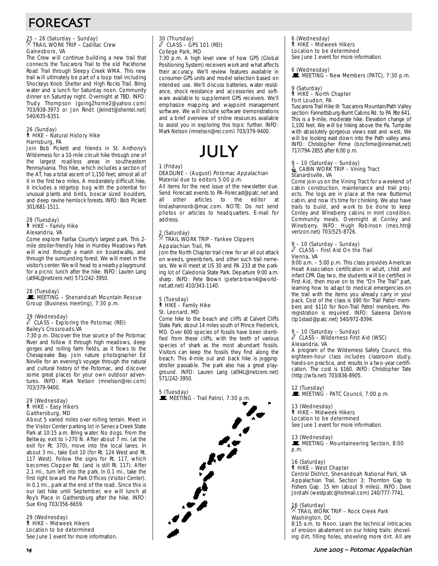# FORECAST

## 25 – 26 (Saturday – Sunday) . TRAIL WORK TRIP – Cadillac Crew Gainesboro, VA

The Crew will continue building a new trail that connects the Tuscarora Trail to the old Packhorse Road Trail through Sleepy Creek WMA. This new trail will ultimately be part of a loop trail including Shockeys Knob Shelter and High Rocks Trail. Bring water and a lunch for Saturday noon. Community dinner on Saturday night. Overnight at TBD. INFO: Trudy Thompson (going2home2@yahoo.com) 703/938-3973 or Jon Rindt (jkrindt@shentel.net) 540/635-6351.

#### 26 (Sunday) ` HIKE – Natural History Hike Harrisburg, PA

Join Bob Pickett and friends in St. Anthony's Wilderness for a 10-mile circuit hike through one of the largest roadless areas in southeastern Pennsylvania. This hike, which includes a section of the AT, has a total ascent of 1,150 feet; almost all of it in the first two miles. A moderately difficult hike, it includes a ridgetop bog with the potential for unusual plants and birds, boxcar sized boulders, and deep ravine hemlock forests. INFO: Bob Pickett 301/681-1511.

### 28 (Tuesday) ` HIKE – Family Hike Alexandria, VA

Come explore Fairfax County's largest park. This 2 mile stroller-friendly hike in Huntley Meadows Park will wind through a marsh on boardwalks, and through the surrounding forest. We will meet in the visitor's center. We will head to a nearby playground for a picnic lunch after the hike. INFO: Lauren Lang (at94L@netzero.net) 571/242-3950.

### 28 (Tuesday)

MEETING – Shenandoah Mountain Rescue Group (Business meeting), 7:30 p.m.

### 29 (Wednesday)

### $\ell$  CLASS – Exploring the Potomac (REI) Bailey's Crossroads,VA

7:30 p.m. Discover the true source of the Potomac River and follow it through high meadows, deep gorges and rolling farm fields, as it flows to the Chesapeake Bay. Join nature photographer Ed Neville for an evening's voyage through the natural and cultural history of the Potomac, and discover some great places for your own outdoor adventures. INFO: Mark Nelson (mnelson@rei.com) 703/379-9400.

### 29 (Wednesday) ` HIKE – Easy Hikers Gaithersburg, MD

About 5 varied miles over rolling terrain. Meet in the Visitor Center parking lot in Seneca Creek State Park at 10:15 a.m. Bring water. No dogs. From the Beltway, exit to I-270 N. After about  $\overline{7}$  mi. (at the exit for Rt. 370), move into the local lanes. In about 3 mi., take Exit 10 (for Rt. 124 West and Rt. 117 West). Follow the signs for Rt. 117, which becomes Clopper Rd. (and is still Rt. 117). After 2.1 mi., turn left into the park. In 0.1 mi., take the first right toward the Park Offices (Visitor Center). In 0.1 mi., park at the end of the road. Since this is our last hike until September, we will lunch at Roy's Place in Gaithersburg after the hike. INFO: Sue King 703/356-6659.

29 (Wednesday) ` HIKE – Midweek Hikers Location to be determined See June 1 event for more information.

### 30 (Thursday) a CLASS – GPS 101 (REI) College Park, MD

7:30 p.m. A high level view of how GPS (Global Positioning System) receivers work and what affects their accuracy. We'll review features available in consumer GPS units and model selection based on intended use. We'll discuss batteries, water resistance, shock resistance and accessories and software available to supplement GPS receivers. We'll emphasize mapping and waypoint management software. We will include software demonstrations and a brief overview of online resources available to assist you in exploring this topic further. INFO: Mark Nelson (mnelson@rei.com) 703/379-9400.



### 1 (Friday)

### DEADLINE – (August) Potomac Appalachian Material due to editors 5:00 p.m.

All items for the next issue of the newsletter due. Send Forecast events to PA-Forecast@patc.net and all other articles to the editor at all other articles to the editor at lindashannonb@mac.com. NOTE: Do not send photos or articles to headquarters. E-mail for address.

# 2 (Saturday) . TRAIL WORK TRIP - Yankee Clippers Appalachian Trail, PA

Join the North Chapter trail crew for an all out attack on weeds, greenbriers, and other such trail nemeses. We will meet at US 30 and PA 233 at the parking lot of Caledonia State Park. Departure 9:00 a.m. sharp. INFO: Pete Brown (peter.brown4@worldnet.att.net) 410/343-1140.

### 5 (Tuesday) ` HIKE – Family Hike St. Leonard, MD

Come hike to the beach and cliffs at Calvert Cliffs State Park, about 14 miles south of Prince Frederick, MD. Over 600 species of fossils have been identified from these cliffs, with the teeth of various species of shark as the most abundant fossils. Visitors can keep the fossils they find along the beach. This 4-mile out and back hike is joggingstroller passable. The park also has a great playground. INFO: Lauren Lang (at94L@netzero.net) 571/242-3950.

5 (Tuesday) MEETING - Trail Patrol, 7:30 p.m.



6 (Wednesday) ` HIKE – Midweek Hikers Location to be determined See June 1 event for more information.

# 6 (Wednesday)<br>■ MEETING - New Members (PATC), 7:30 p.m.

9 (Saturday)

#### ` HIKE – North Chapter Fort Loudon, PA

Tuscarora Trail Hike III: Tuscarora Mountain/Path Valley section: Fannettsburg-Burnt Cabins Rd. to PA Rte 641. This is a 9-mile, moderate hike. Elevation change of 1,100 feet. We will be hiking above the Pa. Turnpike with absolutely gorgeous views east and west. We will be looking east down into the Path valley area. INFO: Christopher Firme (bncfirme@innernet.net) 717/794-2855 after 6:00 p.m.

# 9 – 10 (Saturday – Sunday)<br>
CABIN WORK TRIP – Vining Tract Stanardsville, VA

Come join us on the Vining Tract for a weekend of cabin construction, maintenance and trail projects. The logs are in place at the new Butternut cabin, and now it's time for chinking. We also have trails to build, and work to be done to keep Conley and Wineberry cabins in mint condition. Community meals. Overnight at Conley and Wineberry. INFO: Hugh Robinson (mes.htr@ verizon.net) 703/525-8726.

### 9 – 10 (Saturday – Sunday) a CLASS – First Aid On the Trail Vienna, VA

9:00 a.m. – 5:00 p.m. This class provides American Heart Association certification in adult, child and infant CPR. Day two, the students will be certified in First Aid, then move on to the "On The Trail" part, learning how to adapt to medical emergencies on the trail with the items you already carry in your pack. Cost of the class is \$90 for Trail Patrol members and \$110 for Non-Trail Patrol members. Preregistration is required. INFO: Saleena DeVore (tp1staid@patc.net) 540/972-8394.

# 9 – 10 (Saturday – Sunday) a CLASS – Wilderness First Aid (WSC) Alexandria, VA

A program of the Wilderness Safety Council, this eighteen-hour class includes classroom study, hands-on practice, and results in a two-year certification. The cost is \$160. INFO: Christopher Tate (http://wfa.net) 703/836-8905.

12 (Tuesday) WE MEETING - PATC Council, 7:00 p.m.

#### 13 (Wednesday) ` HIKE – Midweek Hikers Location to be determined See June 1 event for more information.

13 (Wednesday)

MEETING - Mountaineering Section, 8:00 p.m.

### 16 (Saturday)

` HIKE – West Chapter Central District, Shenandoah National Park, VA

Appalachian Trail, Section 3; Thornton Gap to Fishers Gap. 15 km (about 9 miles). INFO: Dave Jordahl (westpatc@hotmail.com) 240/777-7741.

16 (Saturday) . TRAIL WORK TRIP – Rock Creek Park Washington, DC

8:15 a.m. to Noon. Learn the technical intricacies of erosion abatement on our hiking trails: shoveling dirt, filling holes, shoveling more dirt. All are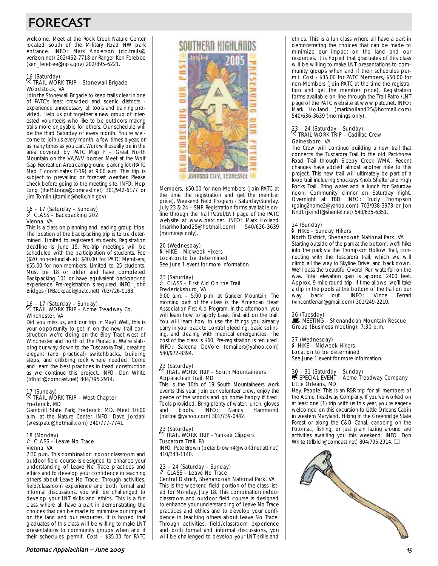# FORECAST

welcome. Meet at the Rock Creek Nature Center located south of the Military Road NW park entrance. INFO: Mark Anderson (dc.trails@ verizon.net) 202/462-7718 or Ranger Ken Ferebee (ken\_ferebee@nps.gov) 202/895-6221.

# 16 (Saturday) . TRAIL WORK TRIP – Stonewall Brigade Woodstock, VA

Join the Stonewall Brigade to keep trails clear in one of PATC's least crowded and scenic districts experience unnecessary, all tools and training provided. Help us put together a new group of interested volunteers who like to be outdoors making trails more enjoyable for others. Our schedule will be the third Saturday of every month. You're welcome to join us every month, a few times a year, or as many times as you can. Work will usually be in the area covered by PATC Map F – Great North Mountain on the VA/WV border. Meet at the Wolf Gap Recreation Area campground parking lot (PATC Map F coordinates E-19) at 9:00 a.m. This trip is subject to prevailing or forecast weather. Please check before going to the meeting site. INFO: Hop Long (theFSLongs@comcast.net) 301/942-6177 or Jim Tomlin (jtomlin@helix.nih.gov).

# 16 – 17 (Saturday – Sunday) a CLASS – Backpacking 202 Vienna, VA

This is a class on planning and leading group trips. The location of the backpacking trip is to be determined. Limited to registered students. Registration deadline is June 15. Pre-trip meetings will be scheduled with the participation of students. Fee (\$20 non-refundable): \$40.00 for PATC Members; \$55.00 for non-members. Limited to 25 students. Must be 18 or older and have completed Backpacking 101 or have equivalent backpacking experience. Pre-registration is required. INFO: John Bridges (TPBackpack@patc.net) 703/726-0188.

# 16 – 17 (Saturday – Sunday) . TRAIL WORK TRIP – Acme Treadway Co. Winchester, VA

Did you miss us, and our trip in May? Well, this is your opportunity to get in on the new trail construction we're doing on the Biby Tract west of Winchester and north of The Pinnacle. We're slabbing our way down to the Tuscarora Trail, creating elegant (and practical) switchbacks, building steps, and cribbing rock where needed. Come and learn the best practices in tread construction as we continue this project. INFO: Don White (trlbldr@comcast.net) 804/795.2914.

# 17 (Sunday) . TRAIL WORK TRIP – West Chapter Frederick, MD

Gambrill State Park; Frederick, MD. Meet 10:00 a.m. at the Nature Center. INFO: Dave Jordahl (westpatc@hotmail.com) 240/777-7741.

# 18 (Monday) a CLASS – Leave No Trace Vienna, VA

7:30 p.m. This combination indoor classroom and outdoor field course is designed to enhance your understanding of Leave No Trace practices and ethics and to develop your confidence in teaching others about Leave No Trace. Through activities, field/classroom experience and both formal and informal discussions, you will be challenged to develop your LNT skills and ethics. This is a fun class where all have a part in demonstrating the choices that can be made to minimize our impact on the land and our resources. It is hoped that graduates of this class will be willing to make LNT presentations to community groups when and if their schedules permit. Cost - \$35.00 for PATC

# SOUTHERD HIGHLADDS JONNSON CITY, TENNESSEE

Members, \$50.00 for non-Members (Join PATC at the time the registration and get the member price). Weekend Field Program - Saturday/Sunday, July 23 & 24 – SNP. Registration forms available online through the Trail Patrol/LNT page of the PATC website at www.patc.net. INFO: Mark Holland<br>(markholland25@hotmail.com) 540/636-3639 (markholland25@hotmail.com) 540/636-3639 (mornings only).

### 20 (Wednesday)

` HIKE – Midweek Hikers Location to be determined See June 1 event for more information.

### 23 (Saturday)<br> *CLASS* a CLASS – First Aid On the Trail Fredericksburg, VA

9:00 a.m. – 5:00 p.m. at Gander Mountain. The morning part of the class is the American Heart Association First Aid Program. In the afternoon, you will learn how to apply basic first aid on the trail. You will learn how to use the things you already carry in your pack to control bleeding, basic splinting, and dealing with medical emergencies. The cost of the class is \$60. Pre-registration is required. INFO: Saleena DeVore (emailert@yahoo.com) 540/972-8394.

# 23 (Saturday) . TRAIL WORK TRIP – South Mountaineers Appalachian Trail, MD

This is the 10th of 19 South Mountaineers work events this year. Join our volunteer crew, enjoy the peace of the woods and go home happy if tired. Tools provided. Bring plenty of water, lunch, gloves<br>and boots. INFO: Nancy Hammond and boots. INFO: Nancy Hammond (mdtrail@yahoo.com) 301/739-0442.

# 23 (Saturday) . TRAIL WORK TRIP - Yankee Clippers Tuscarora Trail, PA

INFO: Pete Brown (peter.brown4@worldnet.att.net) 410/343-1140.

# 23 – 24 (Saturday – Sunday) a CLASS – Leave No Trace

Central District, Shenandoah National Park, VA This is the weekend field portion of the class listed for Monday, July 18. This combination indoor classroom and outdoor field course is designed to enhance your understanding of Leave No Trace practices and ethics and to develop your confidence in teaching others about Leave No Trace. Through activities, field/classroom experience and both formal and informal discussions, you will be challenged to develop your LNT skills and

ethics. This is a fun class where all have a part in demonstrating the choices that can be made to minimize our impact on the land and our resources. It is hoped that graduates of this class will be willing to make LNT presentations to community groups when and if their schedules permit. Cost - \$35.00 for PATC Members, \$50.00 for non-Members (Join PATC at the time the registration and get the member price). Registration forms available on-line through the Trail Patrol/LNT page of the PATC website at www.patc.net. INFO: Mark Holland (markholland25@hotmail.com) 540/636-3639 (mornings only).

# 23 – 24 (Saturday – Sunday) . TRAIL WORK TRIP – Cadillac Crew Gainesboro, VA

The Crew will continue building a new trail that connects the Tuscarora Trail to the old Packhorse Road Trail through Sleepy Creek WMA. Recent changes have added almost another mile to this project. This new trail will ultimately be part of a loop trail including Shockeys Knob Shelter and High Rocks Trail. Bring water and a lunch for Saturday noon. Community dinner on Saturday night. Overnight at TBD. INFO: Trudy Thompson (going2home2@yahoo.com) 703/938-3973 or Jon Rindt (jkrindt@shentel.net) 540/635-6351.

### 24 (Sunday) ` HIKE – Sunday Hikers

### North District, Shenandoah National Park, VA

Starting outside of the park at the bottom, we'll hike into the park via the Thompson Hollow Trail, connecting with the Tuscarora Trail, which we will climb all the way to Skyline Drive, and back down. We'll pass the beautiful Overall Run waterfall on the way. Total elevation gain is approx. 2400 feet. Approx. 9-mile round trip. If time allows, we'll take a dip in the pools at the bottom of the trail on our<br>way back out. INFO: Vince Ferrari way back out. INFO: Vince Ferrari (vincentferrari@gmail.com) 301/249-2210.

26 (Tuesday)<br>■ MEETING - Shenandoah Mountain Rescue Group (Business meeting), 7:30 p.m.

27 (Wednesday)

` HIKE – Midweek Hikers Location to be determined

See June 1 event for more information.

# 30 – 31 (Saturday – Sunday)<br>₩ SPECIAL EVENT – Acme Treadway Company Little Orleans, MD

Hey, People! This is an R&R trip for all members of the Acme Treadway Company. If you've worked on at least one (1) trip with us this year, you're eagerly welcomed on this excursion to Little Orleans Cabin in western Maryland. Hiking in the Greenridge State Forest or along the C&O Canal, canoeing on the Potomac, fishing, or just plain lazing around are activities awaiting you this weekend. INFO: Don White (trlbldr@comcast.net) 804/795.2914. ❏

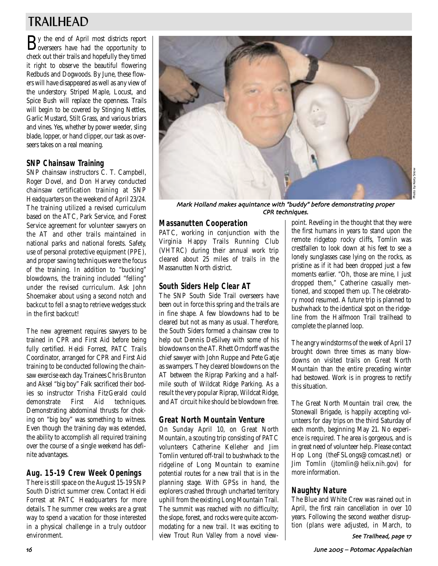# TRAILHEAD

By the end of April most districts report<br>overseers have had the opportunity to check out their trails and hopefully they timed it right to observe the beautiful flowering Redbuds and Dogwoods. By June, these flowers will have disappeared as well as any view of the understory. Striped Maple, Locust, and Spice Bush will replace the openness. Trails will begin to be covered by Stinging Nettles, Garlic Mustard, Stilt Grass, and various briars and vines. Yes, whether by power weeder, sling blade, lopper, or hand clipper, our task as overseers takes on a real meaning.

# **SNP Chainsaw Training**

SNP chainsaw instructors C. T. Campbell, Roger Dovel, and Don Harvey conducted chainsaw certification training at SNP Headquarters on the weekend of April 23/24. The training utilized a revised curriculum based on the ATC, Park Service, and Forest Service agreement for volunteer sawyers on the AT and other trails maintained in national parks and national forests. Safety, use of personal protective equipment (PPE), and proper sawing techniques were the focus of the training. In addition to "bucking" blowdowns, the training included "felling" under the revised curriculum. Ask John Shoemaker about using a second notch and backcut to fell a snag to retrieve wedges stuck in the first backcut!

The new agreement requires sawyers to be trained in CPR and First Aid before being fully certified. Heidi Forrest, PATC Trails Coordinator, arranged for CPR and First Aid training to be conducted following the chainsaw exercise each day. Trainees Chris Brunton and Aksel "big boy" Falk sacrificed their bodies so instructor Trisha FitzGerald could demonstrate First Aid techniques. Demonstrating abdominal thrusts for choking on "big boy" was something to witness. Even though the training day was extended, the ability to accomplish all required training over the course of a single weekend has definite advantages.

# **Aug. 15-19 Crew Week Openings**

There is still space on the August 15-19 SNP South District summer crew. Contact Heidi Forrest at PATC Headquarters for more details. The summer crew weeks are a great way to spend a vacation for those interested in a physical challenge in a truly outdoor environment.



Mark Holland makes aquintance with "buddy" before demonstrating proper CPR techniques

# **Massanutten Cooperation**

PATC, working in conjunction with the Virginia Happy Trails Running Club (VHTRC) during their annual work trip cleared about 25 miles of trails in the Massanutten North district.

# **South Siders Help Clear AT**

The SNP South Side Trail overseers have been out in force this spring and the trails are in fine shape. A few blowdowns had to be cleared but not as many as usual. Therefore, the South Siders formed a chainsaw crew to help out Dennis DeSilvey with some of his blowdowns on the AT. Rhett Orndorff was the chief sawyer with John Ruppe and Pete Gatje as swampers. They cleared blowdowns on the AT between the Riprap Parking and a halfmile south of Wildcat Ridge Parking. As a result the very popular Riprap, Wildcat Ridge, and AT circuit hike should be blowdown free.

# **Great North Mountain Venture**

On Sunday April 10, on Great North Mountain, a scouting trip consisting of PATC volunteers Catherine Kelleher and Jim Tomlin ventured off-trail to bushwhack to the ridgeline of Long Mountain to examine potential routes for a new trail that is in the planning stage. With GPSs in hand, the explorers crashed through uncharted territory uphill from the existing Long Mountain Trail. The summit was reached with no difficulty; the slope, forest, and rocks were quite accommodating for a new trail. It was exciting to view Trout Run Valley from a novel viewpoint. Reveling in the thought that they were the first humans in years to stand upon the remote ridgetop rocky cliffs, Tomlin was crestfallen to look down at his feet to see a lonely sunglasses case lying on the rocks, as pristine as if it had been dropped just a few moments earlier. "Oh, those are mine, I just dropped them," Catherine casually mentioned, and scooped them up. The celebratory mood resumed. A future trip is planned to bushwhack to the identical spot on the ridgeline from the Halfmoon Trail trailhead to complete the planned loop.

The angry windstorms of the week of April 17 brought down three times as many blowdowns on visited trails on Great North Mountain than the entire preceding winter had bestowed. Work is in progress to rectify this situation.

The Great North Mountain trail crew, the Stonewall Brigade, is happily accepting volunteers for day trips on the third Saturday of each month, beginning May 21. No experience is required. The area is gorgeous, and is in great need of volunteer help. Please contact Hop Long (theFSLongs@comcast.net) or Jim Tomlin (jtomlin@helix.nih.gov) for more information.

# **Naughty Nature**

The Blue and White Crew was rained out in April, the first rain cancellation in over 10 years. Following the second weather disruption (plans were adjusted, in March, to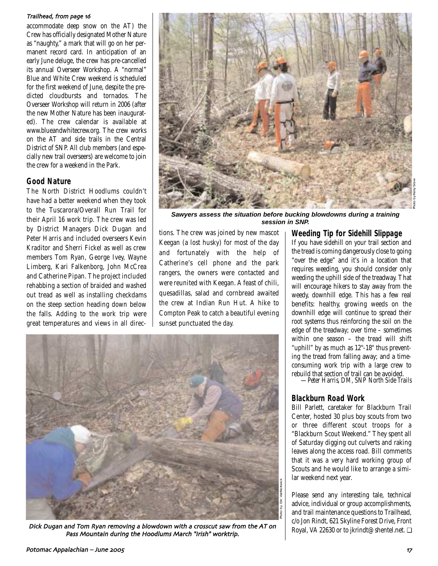### Trailhead, from page 16

accommodate deep snow on the AT) the Crew has officially designated Mother Nature as "naughty," a mark that will go on her permanent record card. In anticipation of an early June deluge, the crew has pre-cancelled its annual Overseer Workshop. A "normal" Blue and White Crew weekend is scheduled for the first weekend of June, despite the predicted cloudbursts and tornados. The Overseer Workshop will return in 2006 (after the new Mother Nature has been inaugurated). The crew calendar is available at www.blueandwhitecrew.org. The crew works on the AT and side trails in the Central District of SNP. All club members (and especially new trail overseers) are welcome to join the crew for a weekend in the Park.

## **Good Nature**

The North District Hoodlums couldn't have had a better weekend when they took to the Tuscarora/Overall Run Trail for their April 16 work trip. The crew was led by District Managers Dick Dugan and Peter Harris and included overseers Kevin Kraditor and Sherri Fickel as well as crew members Tom Ryan, George Ivey, Wayne Limberg, Kari Falkenborg, John McCrea and Catherine Pipan. The project included rehabbing a section of braided and washed out tread as well as installing checkdams on the steep section heading down below the falls. Adding to the work trip were great temperatures and views in all direc-



**Sawyers assess the situation before bucking blowdowns during a training session in SNP.**

tions. The crew was joined by new mascot Keegan (a lost husky) for most of the day and fortunately with the help of Catherine's cell phone and the park rangers, the owners were contacted and were reunited with Keegan. A feast of chili, quesadillas, salad and cornbread awaited the crew at Indian Run Hut. A hike to Compton Peak to catch a beautiful evening sunset punctuated the day.



Dick Dugan and Tom Ryan removing a blowdown with a crosscut saw from the AT on Pass Mountain during the Hoodlums March "Irish" worktrip

### **Weeding Tip for Sidehill Slippage**

If you have sidehill on your trail section and the tread is coming dangerously close to going "over the edge" and it's in a location that requires weeding, you should consider only weeding the uphill side of the treadway. That will encourage hikers to stay away from the weedy, downhill edge. This has a few real benefits: healthy, growing weeds on the downhill edge will continue to spread their root systems thus reinforcing the soil on the edge of the treadway; over time – sometimes within one season – the tread will shift "uphill" by as much as 12''-18'' thus preventing the tread from falling away; and a timeconsuming work trip with a large crew to rebuild that section of trail can be avoided.

*—Peter Harris, DM, SNP North Side Trails*

### **Blackburn Road Work**

Bill Parlett, caretaker for Blackburn Trail Center, hosted 30 plus boy scouts from two or three different scout troops for a "Blackburn Scout Weekend." They spent all of Saturday digging out culverts and raking leaves along the access road. Bill comments that it was a very hard working group of Scouts and he would like to arrange a similar weekend next year.

Please send any interesting tale, technical advice, individual or group accomplishments, and trail maintenance questions to Trailhead, c/o Jon Rindt, 621 Skyline Forest Drive, Front Royal, VA 22630 or to jkrindt@shentel.net. ❏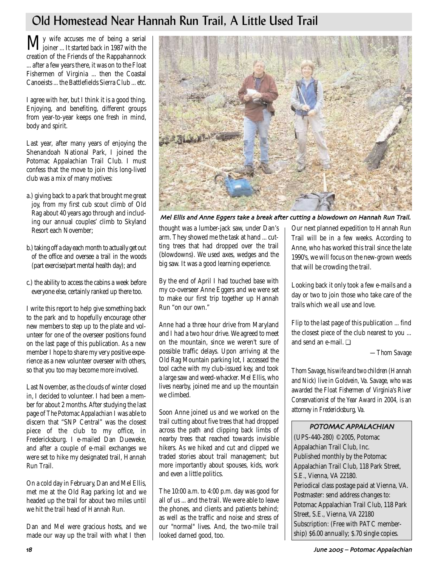# Old Homestead Near Hannah Run Trail, A Little Used Trail

My wife accuses me of being a serial joiner ... It started back in 1987 with the creation of the Friends of the Rappahannock ... after a few years there, it was on to the Float Fishermen of Virginia ... then the Coastal Canoeists ... the Battlefields Sierra Club ... etc.

I agree with her, but I think it is a good thing. Enjoying, and benefiting, different groups from year-to-year keeps one fresh in mind, body and spirit.

Last year, after many years of enjoying the Shenandoah National Park, I joined the Potomac Appalachian Trail Club. I must confess that the move to join this long-lived club was a mix of many motives:

- a.) giving back to a park that brought me great joy, from my first cub scout climb of Old Rag about 40 years ago through and including our annual couples' climb to Skyland Resort each November;
- b.) taking off a day each month to actually get out of the office and oversee a trail in the woods (part exercise/part mental health day); and
- c.) the ability to access the cabins a week before everyone else, certainly ranked up there too.

I write this report to help give something back to the park and to hopefully encourage other new members to step up to the plate and volunteer for one of the overseer positions found on the last page of this publication. As a new member I hope to share my very positive experience as a new volunteer overseer with others, so that you too may become more involved.

Last November, as the clouds of winter closed in, I decided to volunteer. I had been a member for about 2 months. After studying the last page of *The Potomac Appalachian* I was able to discern that "SNP Central" was the closest piece of the club to my office, in Fredericksburg. I e-mailed Dan Dueweke, and after a couple of e-mail exchanges we were set to hike my designated trail, Hannah Run Trail.

On a cold day in February, Dan and Mel Ellis, met me at the Old Rag parking lot and we headed up the trail for about two miles until we hit the trail head of Hannah Run.

Dan and Mel were gracious hosts, and we made our way up the trail with what I then



Mel Ellis and Anne Eggers take a break after cutting a blowdown on Hannah Run Trail

thought was a lumber-jack saw, under Dan's arm. They showed me the task at hand ... cutting trees that had dropped over the trail (blowdowns). We used axes, wedges and the big saw. It was a good learning experience.

By the end of April I had touched base with my co-overseer Anne Eggers and we were set to make our first trip together up Hannah Run "on our own."

Anne had a three hour drive from Maryland and I had a two hour drive. We agreed to meet on the mountain, since we weren't sure of possible traffic delays. Upon arriving at the Old Rag Mountain parking lot, I accessed the tool cache with my club-issued key, and took a large saw and weed-whacker. Mel Ellis, who lives nearby, joined me and up the mountain we climbed.

Soon Anne joined us and we worked on the trail cutting about five trees that had dropped across the path and clipping back limbs of nearby trees that reached towards invisible hikers. As we hiked and cut and clipped we traded stories about trail management; but more importantly about spouses, kids, work and even a little politics.

The 10:00 a.m. to 4:00 p.m. day was good for all of us ... and the trail. We were able to leave the phones, and clients and patients behind; as well as the traffic and noise and stress of our "normal" lives. And, the two-mile trail looked darned good, too.

Our next planned expedition to Hannah Run Trail will be in a few weeks. According to Anne, who has worked this trail since the late 1990's, we will focus on the new-grown weeds that will be crowding the trail.

Looking back it only took a few e-mails and a day or two to join those who take care of the trails which we all use and love.

Flip to the last page of this publication ... find the closest piece of the club nearest to you ... and send an e-mail  $\Box$ 

*—Thom Savage*

*Thom Savage, his wife and two children (Hannah and Nick) live in Goldvein, Va. Savage, who was awarded the Float Fishermen of Virginia's River Conservationist of the Year Award in 2004, is an attorney in Fredericksburg, Va.*

## POTOMAC APPALACHIAN

(UPS-440-280) ©2005, Potomac Appalachian Trail Club, Inc. Published monthly by the Potomac Appalachian Trail Club, 118 Park Street, S.E., Vienna, VA 22180. Periodical class postage paid at Vienna, VA. Postmaster: send address changes to: Potomac Appalachian Trail Club, 118 Park Street, S.E., Vienna, VA 22180 Subscription: (Free with PATC membership) \$6.00 annually; \$.70 single copies.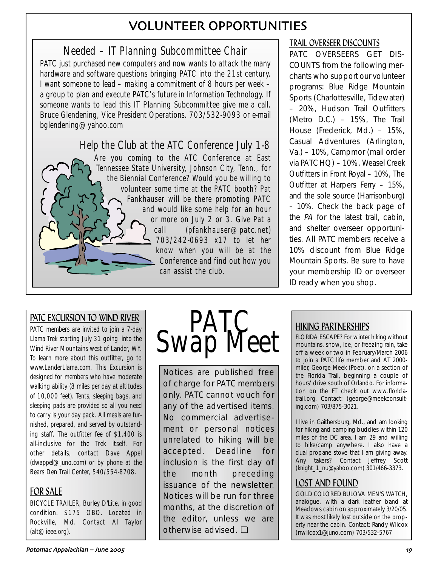# VOLUNTEER OPPORTUNITIES

# Needed – IT Planning Subcommittee Chair

PATC just purchased new computers and now wants to attack the many hardware and software questions bringing PATC into the 21st century. I want someone to lead – making a commitment of 8 hours per week – a group to plan and execute PATC's future in Information Technology. If someone wants to lead this IT Planning Subcommittee give me a call. Bruce Glendening, Vice President Operations. 703/532-9093 or e-mail bglendening@yahoo.com

# Help the Club at the ATC Conference July 1-8 Are you coming to the ATC Conference at East Tennessee State University, Johnson City, Tenn., for the Biennial Conference? Would you be willing to volunteer some time at the PATC booth? Pat Fankhauser will be there promoting PATC and would like some help for an hour or more on July 2 or 3. Give Pat a call (pfankhauser@patc.net) 703/242-0693 x17 to let her know when you will be at the Conference and find out how you can assist the club.

# TRAIL OVERSEER DISCOUNTS

PATC OVERSEERS GET DIS-COUNTS from the following merchants who support our volunteer programs: Blue Ridge Mountain Sports (Charlottesville, Tidewater) – 20%, Hudson Trail Outfitters (Metro D.C.) – 15%, The Trail House (Frederick, Md.) – 15%, Casual Adventures (Arlington, Va.) – 10%, Campmor (mail order via PATC HQ) – 10%, Weasel Creek Outfitters in Front Royal – 10%, The Outfitter at Harpers Ferry – 15%, and the sole source (Harrisonburg) – 10%. Check the back page of the PA for the latest trail, cabin, and shelter overseer opportunities. All PATC members receive a 10% discount from Blue Ridge Mountain Sports. Be sure to have your membership ID or overseer ID ready when you shop.

# PATC EXCURSION TO WIND RIVER

PATC members are invited to join a 7-day Llama Trek starting July 31 going into the Wind River Mountains west of Lander, WY. To learn more about this outfitter, go to www.LanderLlama.com. This Excursion is designed for members who have moderate walking ability (8 miles per day at altitudes of 10,000 feet). Tents, sleeping bags, and sleeping pads are provided so all you need to carry is your day pack. All meals are furnished, prepared, and served by outstanding staff. The outfitter fee of \$1,400 is all-inclusive for the Trek itself. For other details, contact Dave Appel (dwappel@juno.com) or by phone at the Bears Den Trail Center, 540/554-8708.

# FOR SALE

BICYCLE TRAILER, Burley D'Lite, in good condition. \$175 OBO. Located in Rockville, Md. Contact Al Taylor (alt@ieee.org).



Notices are published free of charge for PATC members only. PATC cannot vouch for any of the advertised items. No commercial advertisement or personal notices unrelated to hiking will be accepted. Deadline for inclusion is the first day of the month preceding issuance of the newsletter. Notices will be run for three months, at the discretion of the editor, unless we are otherwise advised. ❏

# HIKING PARTNERSHIPS

FLORIDA ESCAPE? For winter hiking without mountains, snow, ice, or freezing rain, take off a week or two in February/March 2006 to join a PATC life member and AT 2000 miler, George Meek (Poet), on a section of the Florida Trail, beginning a couple of hours' drive south of Orlando. For information on the FT check out www.floridatrail.org. Contact: (george@meekconsulting.com) 703/875-3021.

I live in Gaithersburg, Md., and am looking for hiking and camping buddies within 120 miles of the DC area. I am 29 and willing to hike/camp anywhere. I also have a dual propane stove that I am giving away. Any takers? Contact Jeffrey Scott (knight\_1\_nu@yahoo.com) 301/466-3373.

# LOST AND FOUND

GOLD COLORED BULOVA MEN'S WATCH, analogue, with a dark leather band at Meadows cabin on approximately 3/20/05. It was most likely lost outside on the property near the cabin. Contact: Randy Wilcox (rrwilcox1@juno.com) 703/532-5767